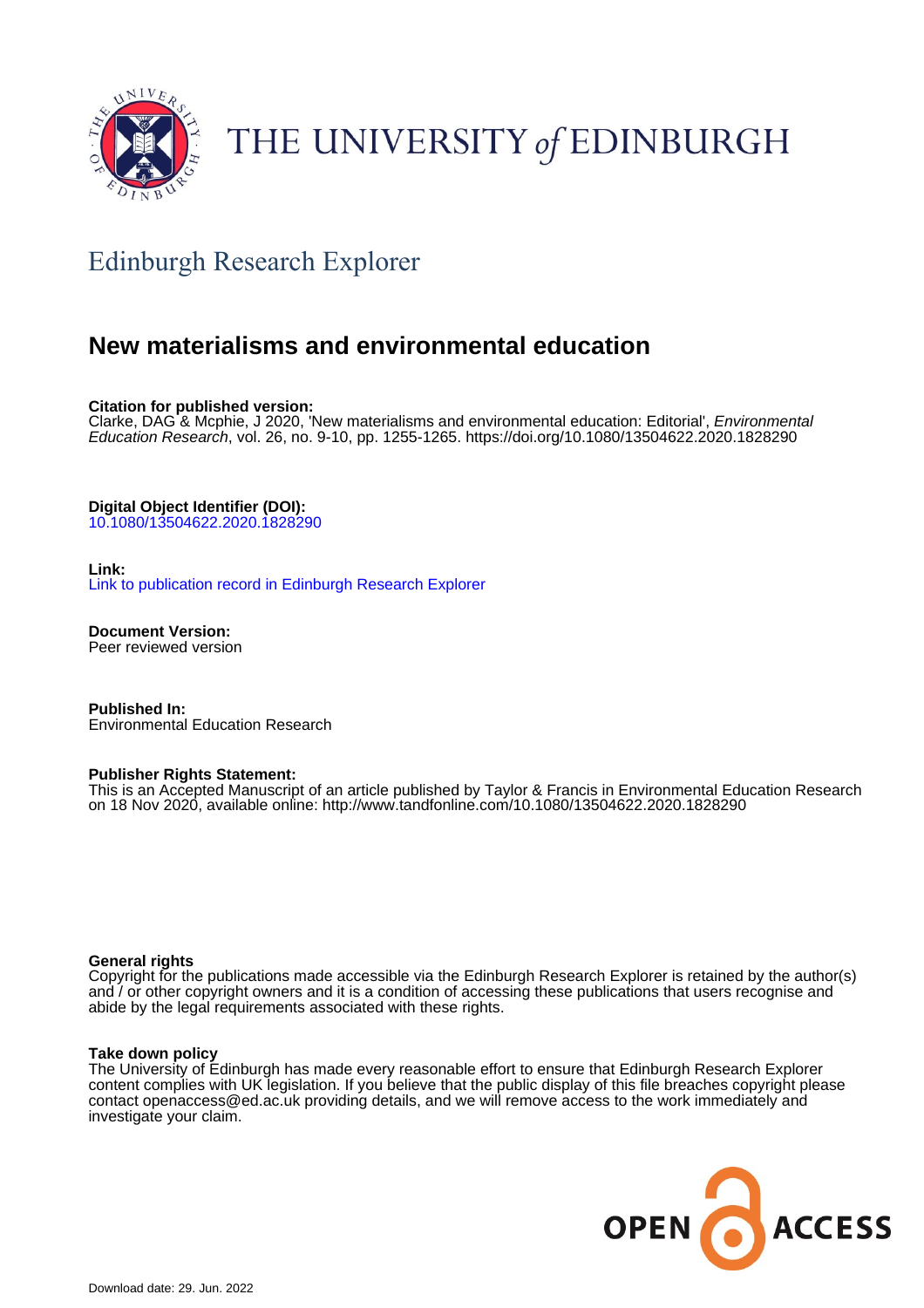

# THE UNIVERSITY of EDINBURGH

# Edinburgh Research Explorer

# **New materialisms and environmental education**

**Citation for published version:**

Clarke, DAG & Mcphie, J 2020, 'New materialisms and environmental education: Editorial', Environmental Education Research, vol. 26, no. 9-10, pp. 1255-1265. <https://doi.org/10.1080/13504622.2020.1828290>

**Digital Object Identifier (DOI):**

[10.1080/13504622.2020.1828290](https://doi.org/10.1080/13504622.2020.1828290)

#### **Link:**

[Link to publication record in Edinburgh Research Explorer](https://www.research.ed.ac.uk/en/publications/c799785f-f698-4b9f-96ac-dda8a9f2279a)

**Document Version:** Peer reviewed version

**Published In:** Environmental Education Research

#### **Publisher Rights Statement:**

This is an Accepted Manuscript of an article published by Taylor & Francis in Environmental Education Research on 18 Nov 2020, available online: http://www.tandfonline.com/10.1080/13504622.2020.1828290

#### **General rights**

Copyright for the publications made accessible via the Edinburgh Research Explorer is retained by the author(s) and / or other copyright owners and it is a condition of accessing these publications that users recognise and abide by the legal requirements associated with these rights.

#### **Take down policy**

The University of Edinburgh has made every reasonable effort to ensure that Edinburgh Research Explorer content complies with UK legislation. If you believe that the public display of this file breaches copyright please contact openaccess@ed.ac.uk providing details, and we will remove access to the work immediately and investigate your claim.

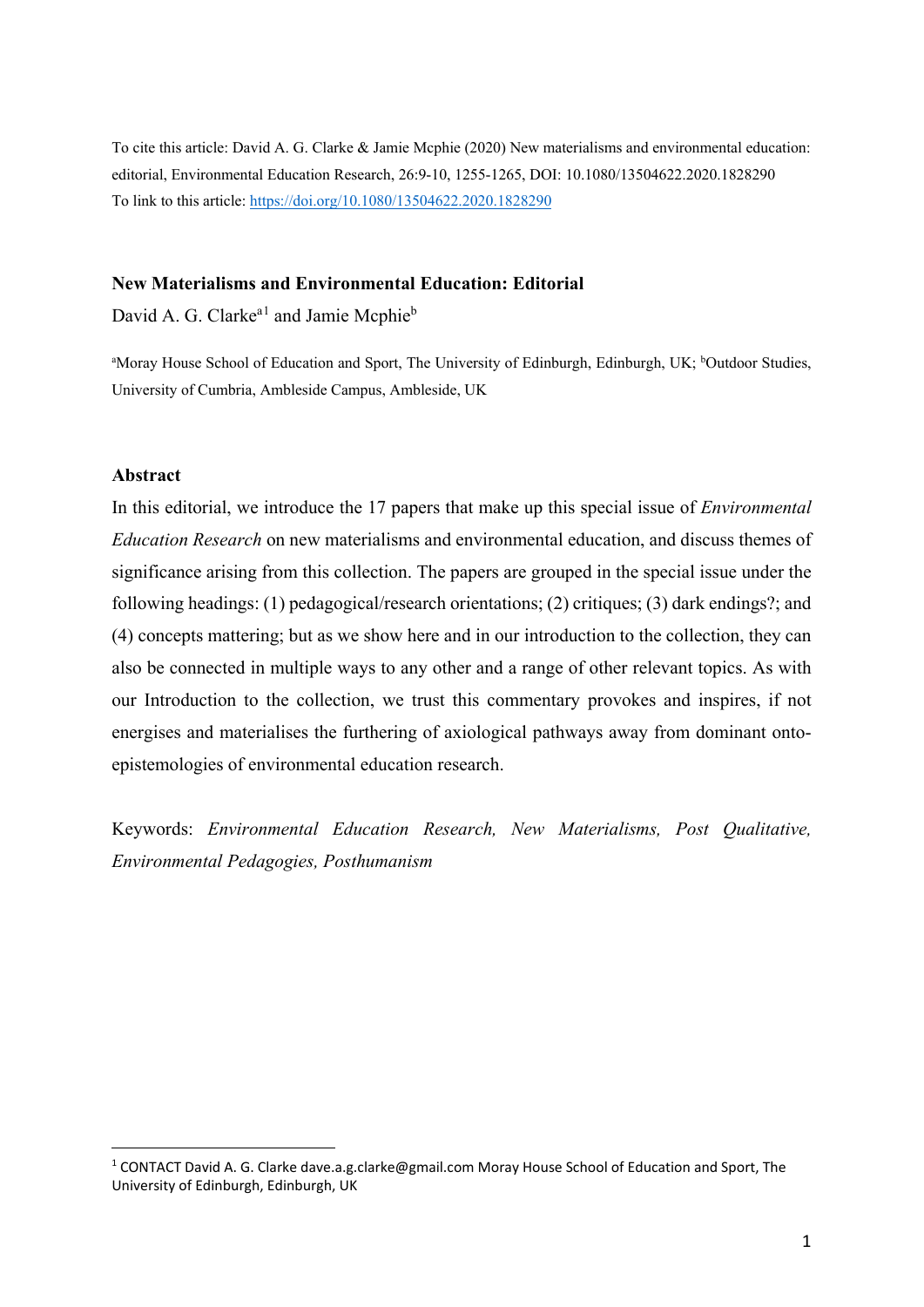To cite this article: David A. G. Clarke & Jamie Mcphie (2020) New materialisms and environmental education: editorial, Environmental Education Research, 26:9-10, 1255-1265, DOI: 10.1080/13504622.2020.1828290 To link to this article:<https://doi.org/10.1080/13504622.2020.1828290>

# **New Materialisms and Environmental Education: Editorial**

David A. G. Clarke<sup>a[1](#page-1-0)</sup> and Jamie Mcphie<sup>b</sup>

<sup>a</sup>Moray House School of Education and Sport, The University of Edinburgh, Edinburgh, UK; <sup>b</sup>Outdoor Studies, University of Cumbria, Ambleside Campus, Ambleside, UK

#### **Abstract**

In this editorial, we introduce the 17 papers that make up this special issue of *Environmental Education Research* on new materialisms and environmental education, and discuss themes of significance arising from this collection. The papers are grouped in the special issue under the following headings: (1) pedagogical/research orientations; (2) critiques; (3) dark endings?; and (4) concepts mattering; but as we show here and in our introduction to the collection, they can also be connected in multiple ways to any other and a range of other relevant topics. As with our Introduction to the collection, we trust this commentary provokes and inspires, if not energises and materialises the furthering of axiological pathways away from dominant ontoepistemologies of environmental education research.

Keywords: *Environmental Education Research, New Materialisms, Post Qualitative, Environmental Pedagogies, Posthumanism*

<span id="page-1-0"></span> <sup>1</sup> CONTACT David A. G. Clarke dave.a.g.clarke@gmail.com Moray House School of Education and Sport, The University of Edinburgh, Edinburgh, UK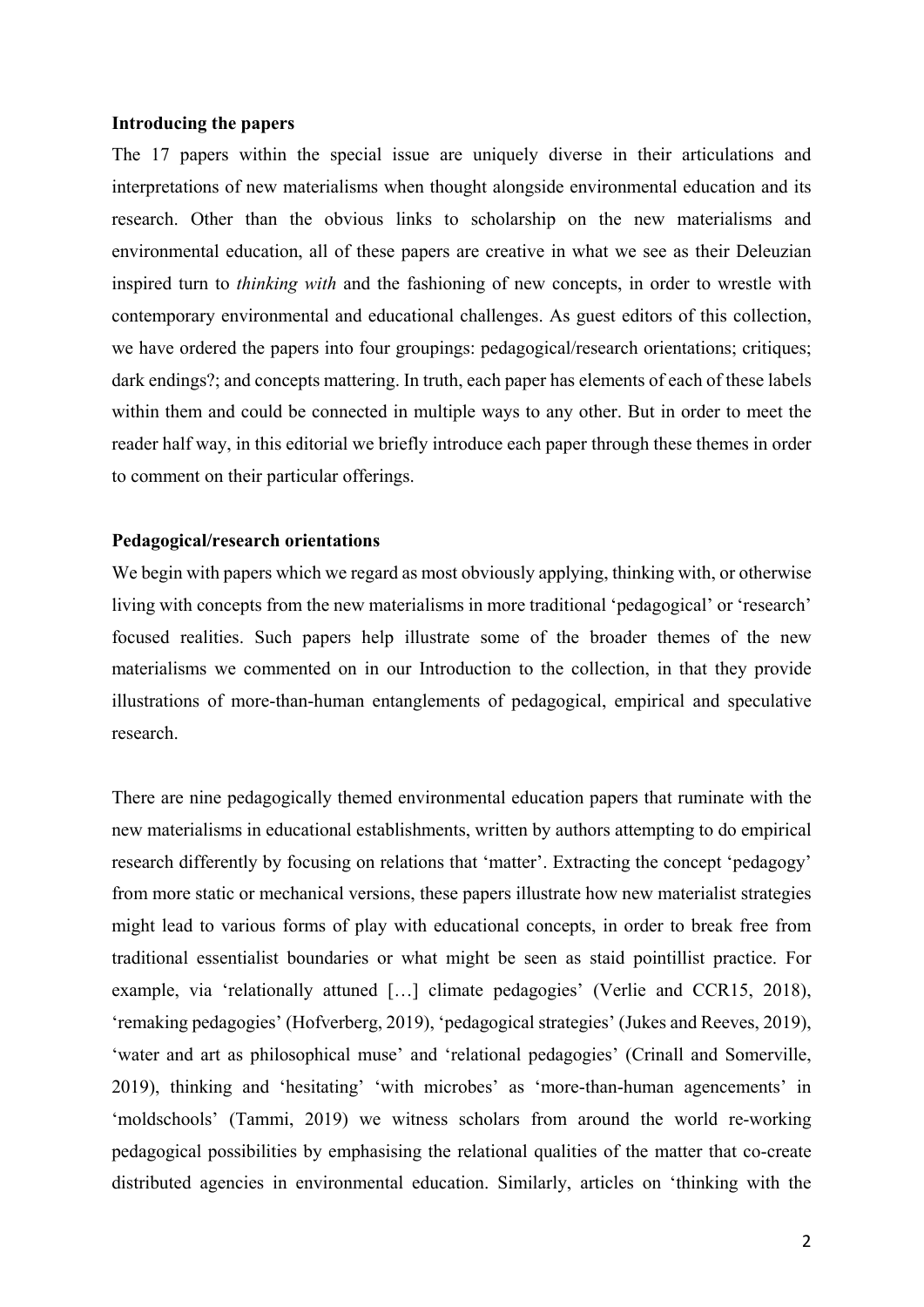### **Introducing the papers**

The 17 papers within the special issue are uniquely diverse in their articulations and interpretations of new materialisms when thought alongside environmental education and its research. Other than the obvious links to scholarship on the new materialisms and environmental education, all of these papers are creative in what we see as their Deleuzian inspired turn to *thinking with* and the fashioning of new concepts, in order to wrestle with contemporary environmental and educational challenges. As guest editors of this collection, we have ordered the papers into four groupings: pedagogical/research orientations; critiques; dark endings?; and concepts mattering. In truth, each paper has elements of each of these labels within them and could be connected in multiple ways to any other. But in order to meet the reader half way, in this editorial we briefly introduce each paper through these themes in order to comment on their particular offerings.

#### **Pedagogical/research orientations**

We begin with papers which we regard as most obviously applying, thinking with, or otherwise living with concepts from the new materialisms in more traditional 'pedagogical' or 'research' focused realities. Such papers help illustrate some of the broader themes of the new materialisms we commented on in our Introduction to the collection, in that they provide illustrations of more-than-human entanglements of pedagogical, empirical and speculative research.

There are nine pedagogically themed environmental education papers that ruminate with the new materialisms in educational establishments, written by authors attempting to do empirical research differently by focusing on relations that 'matter'. Extracting the concept 'pedagogy' from more static or mechanical versions, these papers illustrate how new materialist strategies might lead to various forms of play with educational concepts, in order to break free from traditional essentialist boundaries or what might be seen as staid pointillist practice. For example, via 'relationally attuned […] climate pedagogies' (Verlie and CCR15, 2018), 'remaking pedagogies' (Hofverberg, 2019), 'pedagogical strategies' (Jukes and Reeves, 2019), 'water and art as philosophical muse' and 'relational pedagogies' (Crinall and Somerville, 2019), thinking and 'hesitating' 'with microbes' as 'more-than-human agencements' in 'moldschools' (Tammi, 2019) we witness scholars from around the world re-working pedagogical possibilities by emphasising the relational qualities of the matter that co-create distributed agencies in environmental education. Similarly, articles on 'thinking with the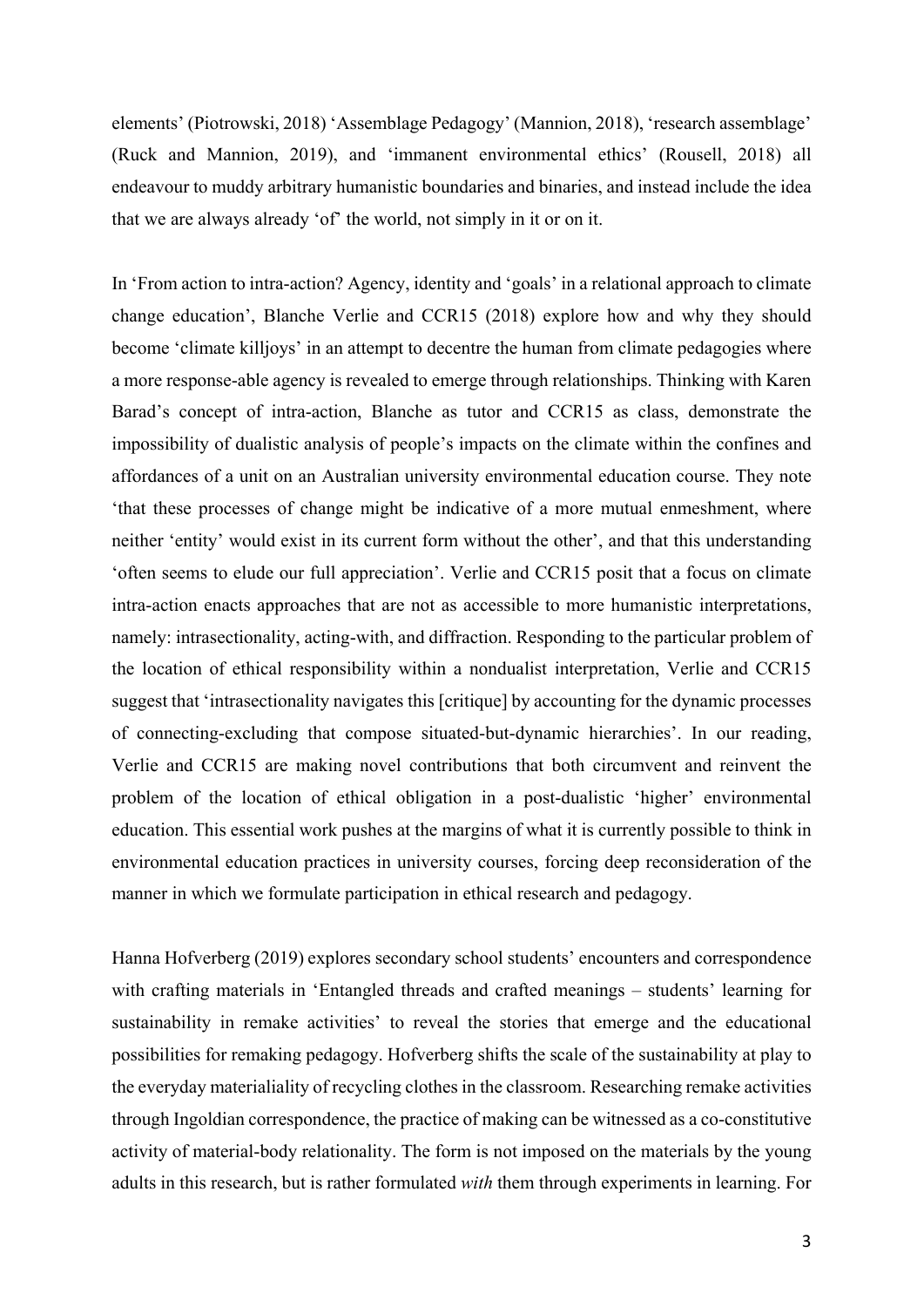elements' (Piotrowski, 2018) 'Assemblage Pedagogy' (Mannion, 2018), 'research assemblage' (Ruck and Mannion, 2019), and 'immanent environmental ethics' (Rousell, 2018) all endeavour to muddy arbitrary humanistic boundaries and binaries, and instead include the idea that we are always already 'of' the world, not simply in it or on it.

In 'From action to intra-action? Agency, identity and 'goals' in a relational approach to climate change education', Blanche Verlie and CCR15 (2018) explore how and why they should become 'climate killjoys' in an attempt to decentre the human from climate pedagogies where a more response-able agency is revealed to emerge through relationships. Thinking with Karen Barad's concept of intra-action, Blanche as tutor and CCR15 as class, demonstrate the impossibility of dualistic analysis of people's impacts on the climate within the confines and affordances of a unit on an Australian university environmental education course. They note 'that these processes of change might be indicative of a more mutual enmeshment, where neither 'entity' would exist in its current form without the other', and that this understanding 'often seems to elude our full appreciation'. Verlie and CCR15 posit that a focus on climate intra-action enacts approaches that are not as accessible to more humanistic interpretations, namely: intrasectionality, acting-with, and diffraction. Responding to the particular problem of the location of ethical responsibility within a nondualist interpretation, Verlie and CCR15 suggest that 'intrasectionality navigates this [critique] by accounting for the dynamic processes of connecting-excluding that compose situated-but-dynamic hierarchies'. In our reading, Verlie and CCR15 are making novel contributions that both circumvent and reinvent the problem of the location of ethical obligation in a post-dualistic 'higher' environmental education. This essential work pushes at the margins of what it is currently possible to think in environmental education practices in university courses, forcing deep reconsideration of the manner in which we formulate participation in ethical research and pedagogy.

Hanna Hofverberg (2019) explores secondary school students' encounters and correspondence with crafting materials in 'Entangled threads and crafted meanings – students' learning for sustainability in remake activities' to reveal the stories that emerge and the educational possibilities for remaking pedagogy. Hofverberg shifts the scale of the sustainability at play to the everyday materialiality of recycling clothes in the classroom. Researching remake activities through Ingoldian correspondence, the practice of making can be witnessed as a co-constitutive activity of material-body relationality. The form is not imposed on the materials by the young adults in this research, but is rather formulated *with* them through experiments in learning. For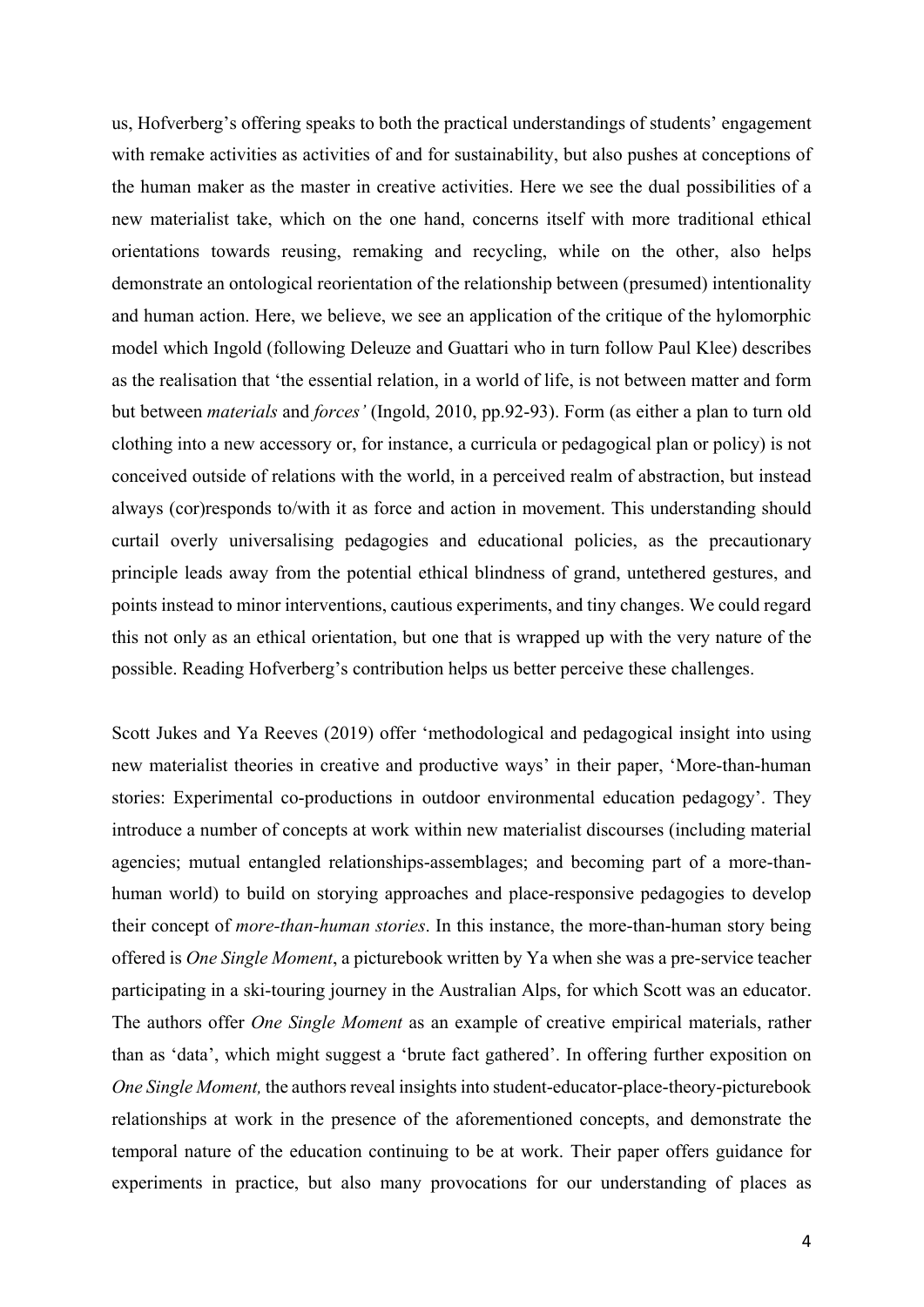us, Hofverberg's offering speaks to both the practical understandings of students' engagement with remake activities as activities of and for sustainability, but also pushes at conceptions of the human maker as the master in creative activities. Here we see the dual possibilities of a new materialist take, which on the one hand, concerns itself with more traditional ethical orientations towards reusing, remaking and recycling, while on the other, also helps demonstrate an ontological reorientation of the relationship between (presumed) intentionality and human action. Here, we believe, we see an application of the critique of the hylomorphic model which Ingold (following Deleuze and Guattari who in turn follow Paul Klee) describes as the realisation that 'the essential relation, in a world of life, is not between matter and form but between *materials* and *forces'* (Ingold, 2010, pp.92-93). Form (as either a plan to turn old clothing into a new accessory or, for instance, a curricula or pedagogical plan or policy) is not conceived outside of relations with the world, in a perceived realm of abstraction, but instead always (cor)responds to/with it as force and action in movement. This understanding should curtail overly universalising pedagogies and educational policies, as the precautionary principle leads away from the potential ethical blindness of grand, untethered gestures, and points instead to minor interventions, cautious experiments, and tiny changes. We could regard this not only as an ethical orientation, but one that is wrapped up with the very nature of the possible. Reading Hofverberg's contribution helps us better perceive these challenges.

Scott Jukes and Ya Reeves (2019) offer 'methodological and pedagogical insight into using new materialist theories in creative and productive ways' in their paper, 'More-than-human stories: Experimental co-productions in outdoor environmental education pedagogy'. They introduce a number of concepts at work within new materialist discourses (including material agencies; mutual entangled relationships-assemblages; and becoming part of a more-thanhuman world) to build on storying approaches and place-responsive pedagogies to develop their concept of *more-than-human stories*. In this instance, the more-than-human story being offered is *One Single Moment*, a picturebook written by Ya when she was a pre-service teacher participating in a ski-touring journey in the Australian Alps, for which Scott was an educator. The authors offer *One Single Moment* as an example of creative empirical materials, rather than as 'data', which might suggest a 'brute fact gathered'. In offering further exposition on *One Single Moment,* the authors reveal insights into student-educator-place-theory-picturebook relationships at work in the presence of the aforementioned concepts, and demonstrate the temporal nature of the education continuing to be at work. Their paper offers guidance for experiments in practice, but also many provocations for our understanding of places as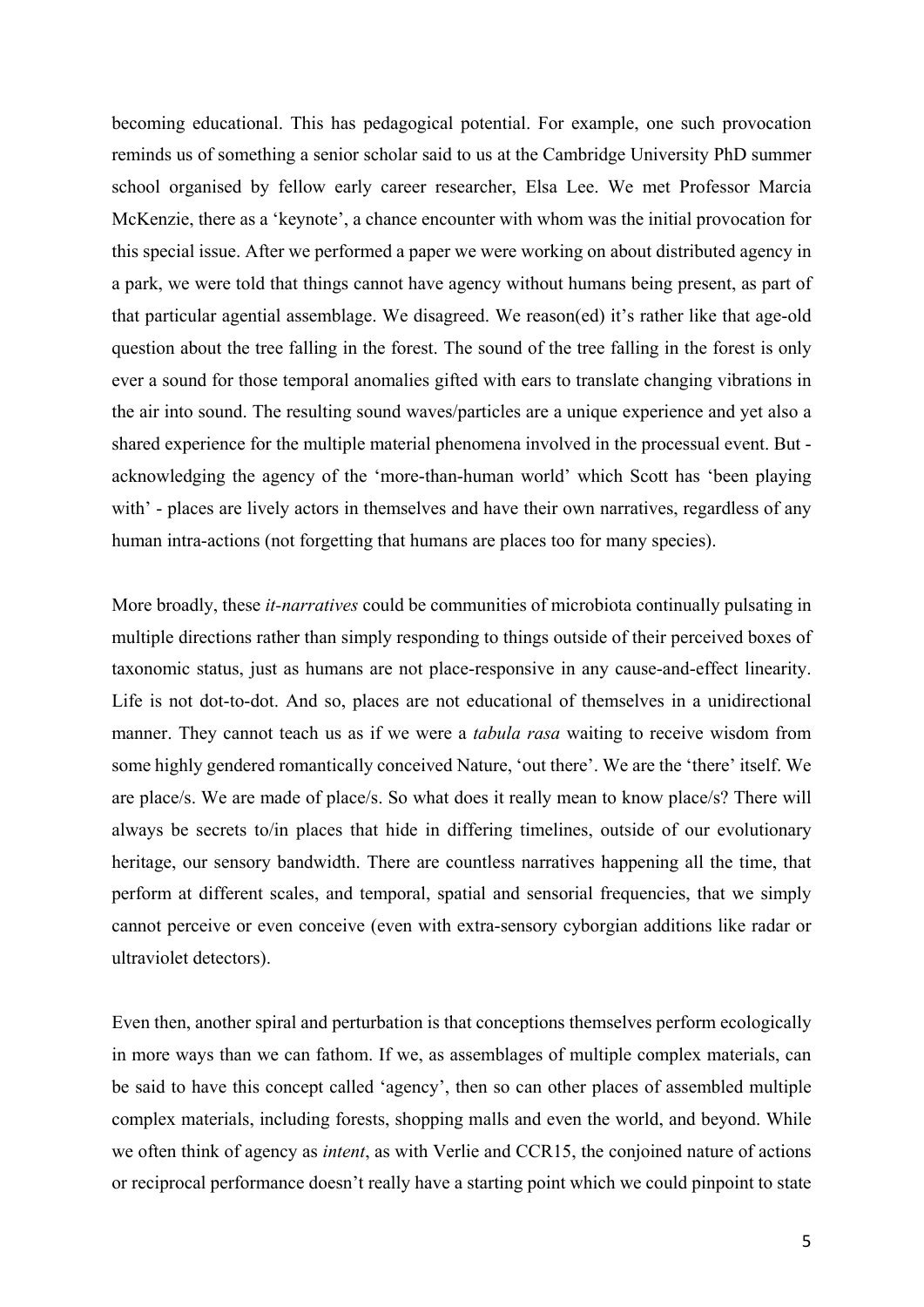becoming educational. This has pedagogical potential. For example, one such provocation reminds us of something a senior scholar said to us at the Cambridge University PhD summer school organised by fellow early career researcher, Elsa Lee. We met Professor Marcia McKenzie, there as a 'keynote', a chance encounter with whom was the initial provocation for this special issue. After we performed a paper we were working on about distributed agency in a park, we were told that things cannot have agency without humans being present, as part of that particular agential assemblage. We disagreed. We reason(ed) it's rather like that age-old question about the tree falling in the forest. The sound of the tree falling in the forest is only ever a sound for those temporal anomalies gifted with ears to translate changing vibrations in the air into sound. The resulting sound waves/particles are a unique experience and yet also a shared experience for the multiple material phenomena involved in the processual event. But acknowledging the agency of the 'more-than-human world' which Scott has 'been playing with' - places are lively actors in themselves and have their own narratives, regardless of any human intra-actions (not forgetting that humans are places too for many species).

More broadly, these *it-narratives* could be communities of microbiota continually pulsating in multiple directions rather than simply responding to things outside of their perceived boxes of taxonomic status, just as humans are not place-responsive in any cause-and-effect linearity. Life is not dot-to-dot. And so, places are not educational of themselves in a unidirectional manner. They cannot teach us as if we were a *tabula rasa* waiting to receive wisdom from some highly gendered romantically conceived Nature, 'out there'. We are the 'there' itself. We are place/s. We are made of place/s. So what does it really mean to know place/s? There will always be secrets to/in places that hide in differing timelines, outside of our evolutionary heritage, our sensory bandwidth. There are countless narratives happening all the time, that perform at different scales, and temporal, spatial and sensorial frequencies, that we simply cannot perceive or even conceive (even with extra-sensory cyborgian additions like radar or ultraviolet detectors).

Even then, another spiral and perturbation is that conceptions themselves perform ecologically in more ways than we can fathom. If we, as assemblages of multiple complex materials, can be said to have this concept called 'agency', then so can other places of assembled multiple complex materials, including forests, shopping malls and even the world, and beyond. While we often think of agency as *intent*, as with Verlie and CCR15, the conjoined nature of actions or reciprocal performance doesn't really have a starting point which we could pinpoint to state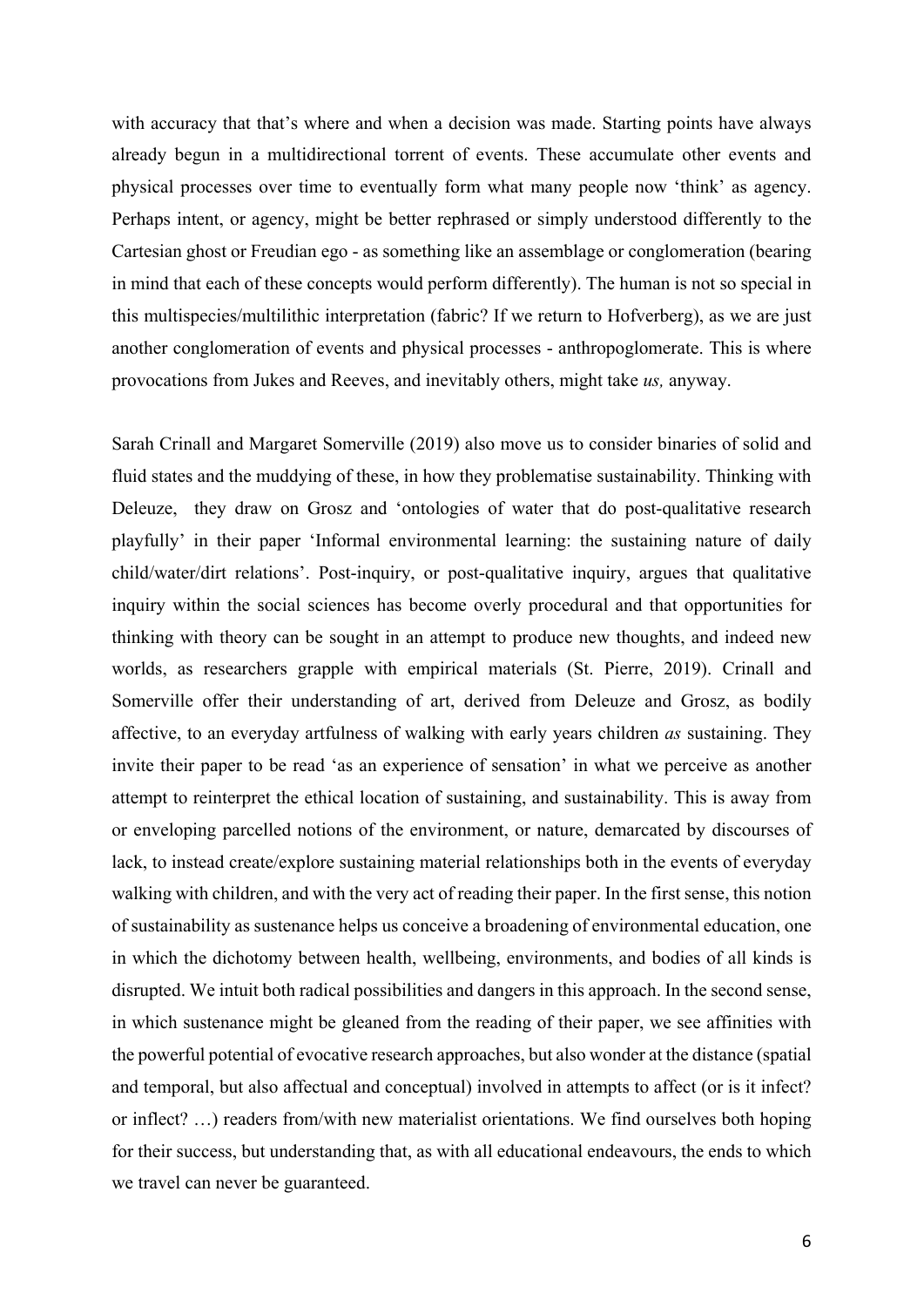with accuracy that that's where and when a decision was made. Starting points have always already begun in a multidirectional torrent of events. These accumulate other events and physical processes over time to eventually form what many people now 'think' as agency. Perhaps intent, or agency, might be better rephrased or simply understood differently to the Cartesian ghost or Freudian ego - as something like an assemblage or conglomeration (bearing in mind that each of these concepts would perform differently). The human is not so special in this multispecies/multilithic interpretation (fabric? If we return to Hofverberg), as we are just another conglomeration of events and physical processes - anthropoglomerate. This is where provocations from Jukes and Reeves, and inevitably others, might take *us,* anyway.

Sarah Crinall and Margaret Somerville (2019) also move us to consider binaries of solid and fluid states and the muddying of these, in how they problematise sustainability. Thinking with Deleuze, they draw on Grosz and 'ontologies of water that do post-qualitative research playfully' in their paper 'Informal environmental learning: the sustaining nature of daily child/water/dirt relations'. Post-inquiry, or post-qualitative inquiry, argues that qualitative inquiry within the social sciences has become overly procedural and that opportunities for thinking with theory can be sought in an attempt to produce new thoughts, and indeed new worlds, as researchers grapple with empirical materials (St. Pierre, 2019). Crinall and Somerville offer their understanding of art, derived from Deleuze and Grosz, as bodily affective, to an everyday artfulness of walking with early years children *as* sustaining. They invite their paper to be read 'as an experience of sensation' in what we perceive as another attempt to reinterpret the ethical location of sustaining, and sustainability. This is away from or enveloping parcelled notions of the environment, or nature, demarcated by discourses of lack, to instead create/explore sustaining material relationships both in the events of everyday walking with children, and with the very act of reading their paper. In the first sense, this notion of sustainability as sustenance helps us conceive a broadening of environmental education, one in which the dichotomy between health, wellbeing, environments, and bodies of all kinds is disrupted. We intuit both radical possibilities and dangers in this approach. In the second sense, in which sustenance might be gleaned from the reading of their paper, we see affinities with the powerful potential of evocative research approaches, but also wonder at the distance (spatial and temporal, but also affectual and conceptual) involved in attempts to affect (or is it infect? or inflect? …) readers from/with new materialist orientations. We find ourselves both hoping for their success, but understanding that, as with all educational endeavours, the ends to which we travel can never be guaranteed.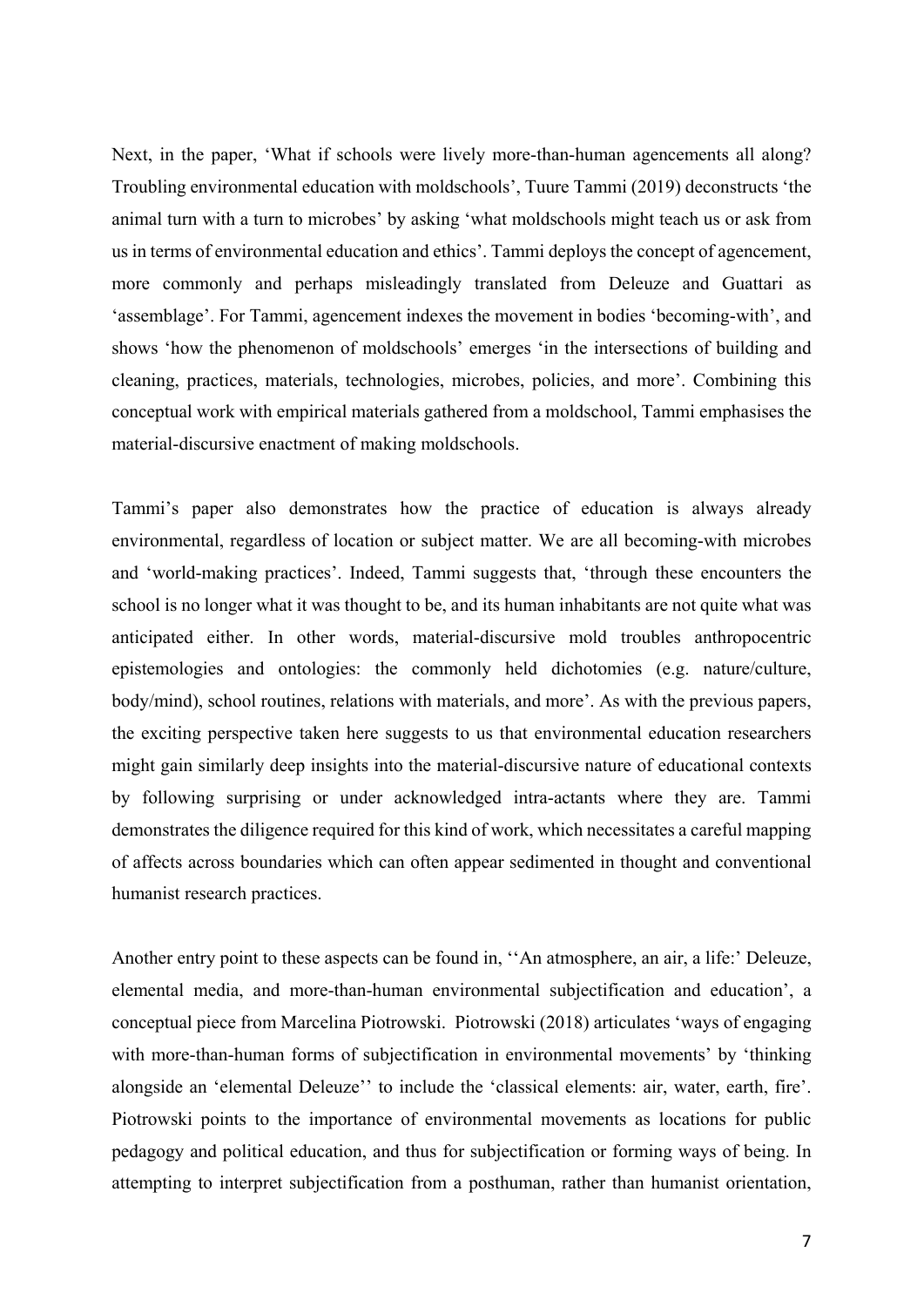Next, in the paper, 'What if schools were lively more-than-human agencements all along? Troubling environmental education with moldschools', Tuure Tammi (2019) deconstructs 'the animal turn with a turn to microbes' by asking 'what moldschools might teach us or ask from us in terms of environmental education and ethics'. Tammi deploys the concept of agencement, more commonly and perhaps misleadingly translated from Deleuze and Guattari as 'assemblage'. For Tammi, agencement indexes the movement in bodies 'becoming-with', and shows 'how the phenomenon of moldschools' emerges 'in the intersections of building and cleaning, practices, materials, technologies, microbes, policies, and more'. Combining this conceptual work with empirical materials gathered from a moldschool, Tammi emphasises the material-discursive enactment of making moldschools.

Tammi's paper also demonstrates how the practice of education is always already environmental, regardless of location or subject matter. We are all becoming-with microbes and 'world-making practices'. Indeed, Tammi suggests that, 'through these encounters the school is no longer what it was thought to be, and its human inhabitants are not quite what was anticipated either. In other words, material-discursive mold troubles anthropocentric epistemologies and ontologies: the commonly held dichotomies (e.g. nature/culture, body/mind), school routines, relations with materials, and more'. As with the previous papers, the exciting perspective taken here suggests to us that environmental education researchers might gain similarly deep insights into the material-discursive nature of educational contexts by following surprising or under acknowledged intra-actants where they are. Tammi demonstrates the diligence required for this kind of work, which necessitates a careful mapping of affects across boundaries which can often appear sedimented in thought and conventional humanist research practices.

Another entry point to these aspects can be found in, ''An atmosphere, an air, a life:' Deleuze, elemental media, and more-than-human environmental subjectification and education', a conceptual piece from Marcelina Piotrowski. Piotrowski (2018) articulates 'ways of engaging with more-than-human forms of subjectification in environmental movements' by 'thinking alongside an 'elemental Deleuze'' to include the 'classical elements: air, water, earth, fire'. Piotrowski points to the importance of environmental movements as locations for public pedagogy and political education, and thus for subjectification or forming ways of being. In attempting to interpret subjectification from a posthuman, rather than humanist orientation,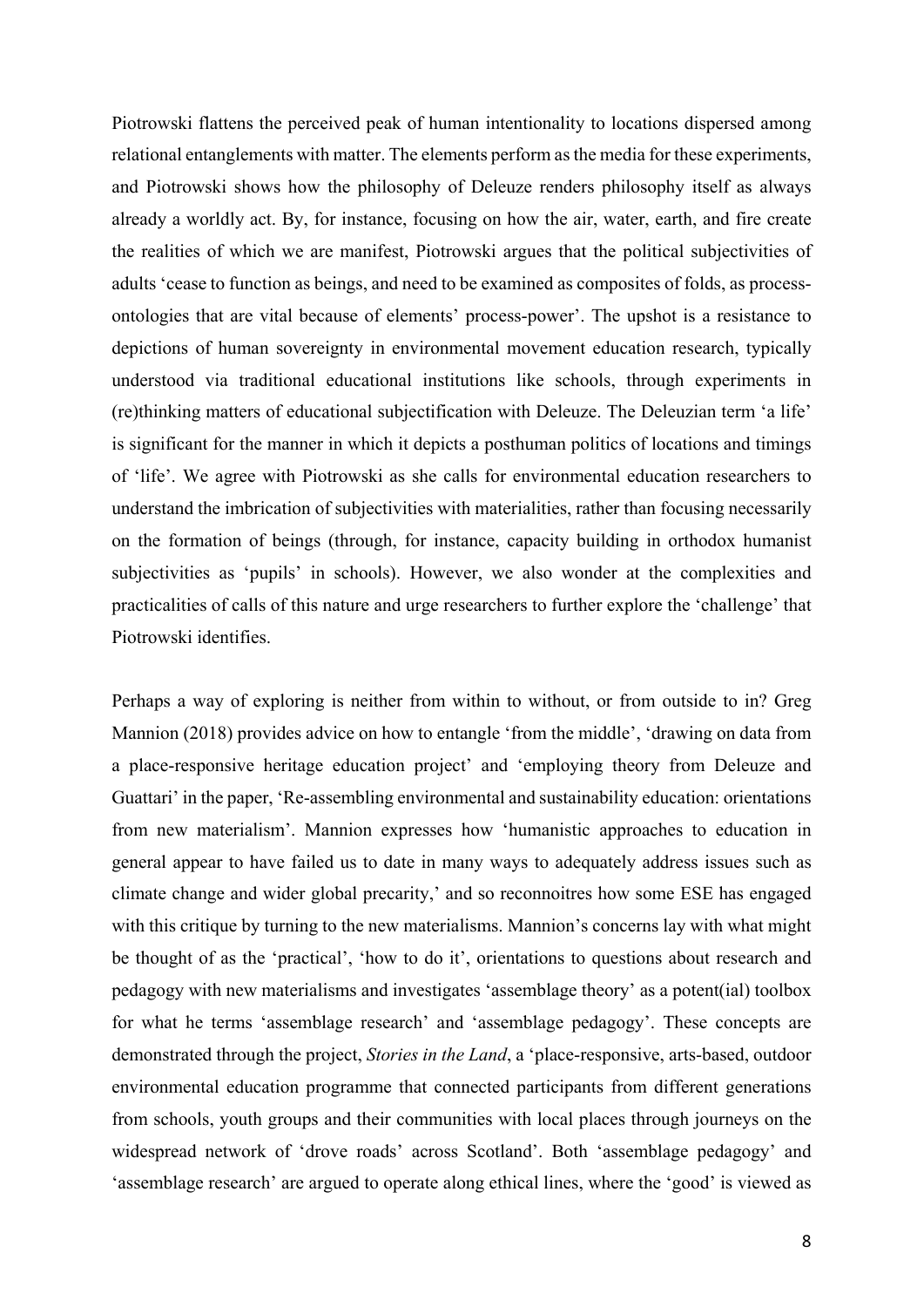Piotrowski flattens the perceived peak of human intentionality to locations dispersed among relational entanglements with matter. The elements perform as the media for these experiments, and Piotrowski shows how the philosophy of Deleuze renders philosophy itself as always already a worldly act. By, for instance, focusing on how the air, water, earth, and fire create the realities of which we are manifest, Piotrowski argues that the political subjectivities of adults 'cease to function as beings, and need to be examined as composites of folds, as processontologies that are vital because of elements' process-power'. The upshot is a resistance to depictions of human sovereignty in environmental movement education research, typically understood via traditional educational institutions like schools, through experiments in (re)thinking matters of educational subjectification with Deleuze. The Deleuzian term 'a life' is significant for the manner in which it depicts a posthuman politics of locations and timings of 'life'. We agree with Piotrowski as she calls for environmental education researchers to understand the imbrication of subjectivities with materialities, rather than focusing necessarily on the formation of beings (through, for instance, capacity building in orthodox humanist subjectivities as 'pupils' in schools). However, we also wonder at the complexities and practicalities of calls of this nature and urge researchers to further explore the 'challenge' that Piotrowski identifies.

Perhaps a way of exploring is neither from within to without, or from outside to in? Greg Mannion (2018) provides advice on how to entangle 'from the middle', 'drawing on data from a place-responsive heritage education project' and 'employing theory from Deleuze and Guattari' in the paper, 'Re-assembling environmental and sustainability education: orientations from new materialism'. Mannion expresses how 'humanistic approaches to education in general appear to have failed us to date in many ways to adequately address issues such as climate change and wider global precarity,' and so reconnoitres how some ESE has engaged with this critique by turning to the new materialisms. Mannion's concerns lay with what might be thought of as the 'practical', 'how to do it', orientations to questions about research and pedagogy with new materialisms and investigates 'assemblage theory' as a potent(ial) toolbox for what he terms 'assemblage research' and 'assemblage pedagogy'. These concepts are demonstrated through the project, *Stories in the Land*, a 'place-responsive, arts-based, outdoor environmental education programme that connected participants from different generations from schools, youth groups and their communities with local places through journeys on the widespread network of 'drove roads' across Scotland'. Both 'assemblage pedagogy' and 'assemblage research' are argued to operate along ethical lines, where the 'good' is viewed as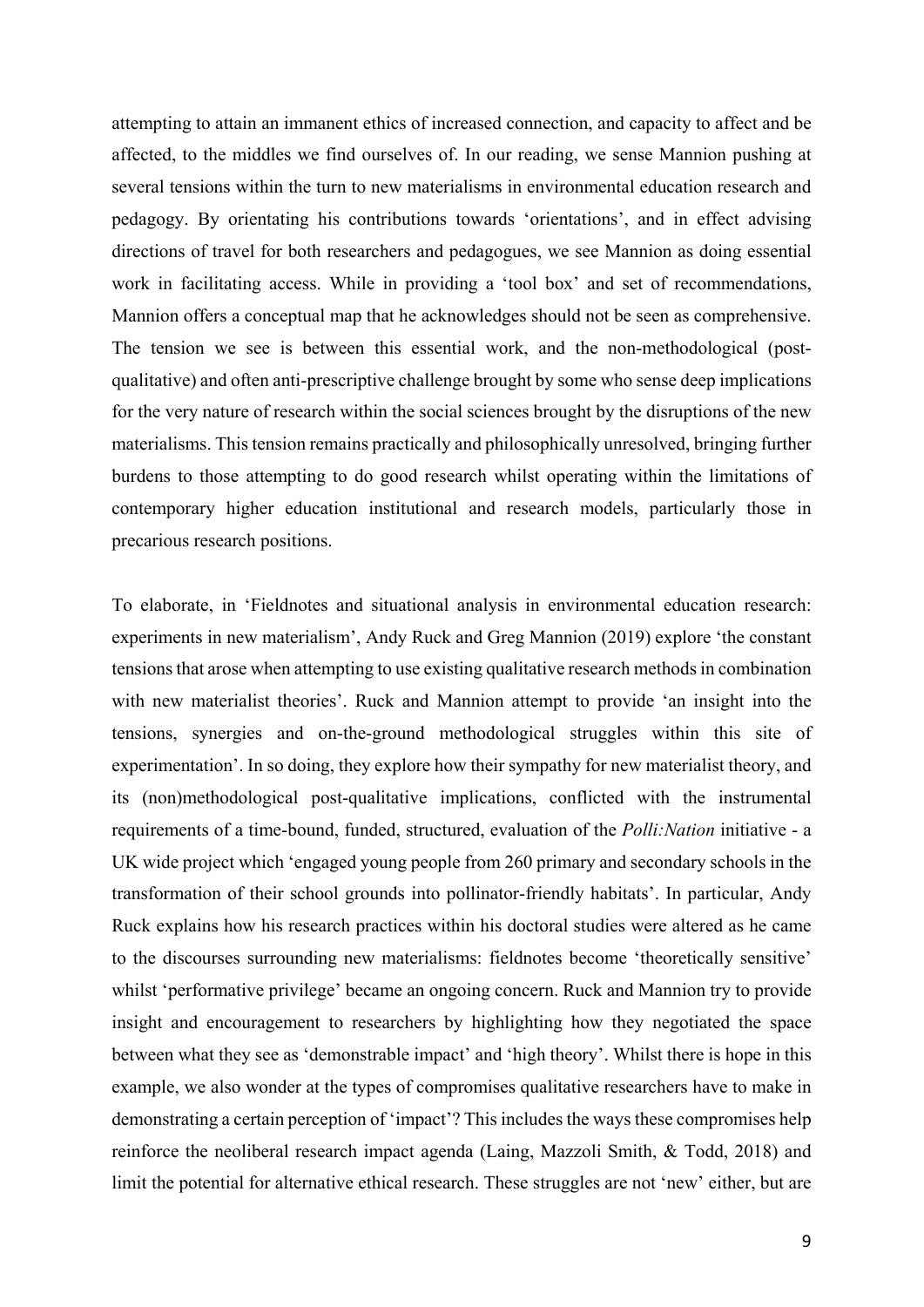attempting to attain an immanent ethics of increased connection, and capacity to affect and be affected, to the middles we find ourselves of. In our reading, we sense Mannion pushing at several tensions within the turn to new materialisms in environmental education research and pedagogy. By orientating his contributions towards 'orientations', and in effect advising directions of travel for both researchers and pedagogues, we see Mannion as doing essential work in facilitating access. While in providing a 'tool box' and set of recommendations, Mannion offers a conceptual map that he acknowledges should not be seen as comprehensive. The tension we see is between this essential work, and the non-methodological (postqualitative) and often anti-prescriptive challenge brought by some who sense deep implications for the very nature of research within the social sciences brought by the disruptions of the new materialisms. This tension remains practically and philosophically unresolved, bringing further burdens to those attempting to do good research whilst operating within the limitations of contemporary higher education institutional and research models, particularly those in precarious research positions.

To elaborate, in 'Fieldnotes and situational analysis in environmental education research: experiments in new materialism', Andy Ruck and Greg Mannion (2019) explore 'the constant tensions that arose when attempting to use existing qualitative research methods in combination with new materialist theories'. Ruck and Mannion attempt to provide 'an insight into the tensions, synergies and on-the-ground methodological struggles within this site of experimentation'. In so doing, they explore how their sympathy for new materialist theory, and its (non)methodological post-qualitative implications, conflicted with the instrumental requirements of a time-bound, funded, structured, evaluation of the *Polli:Nation* initiative - a UK wide project which 'engaged young people from 260 primary and secondary schools in the transformation of their school grounds into pollinator-friendly habitats'. In particular, Andy Ruck explains how his research practices within his doctoral studies were altered as he came to the discourses surrounding new materialisms: fieldnotes become 'theoretically sensitive' whilst 'performative privilege' became an ongoing concern. Ruck and Mannion try to provide insight and encouragement to researchers by highlighting how they negotiated the space between what they see as 'demonstrable impact' and 'high theory'. Whilst there is hope in this example, we also wonder at the types of compromises qualitative researchers have to make in demonstrating a certain perception of 'impact'? This includes the ways these compromises help reinforce the neoliberal research impact agenda (Laing, Mazzoli Smith, & Todd, 2018) and limit the potential for alternative ethical research. These struggles are not 'new' either, but are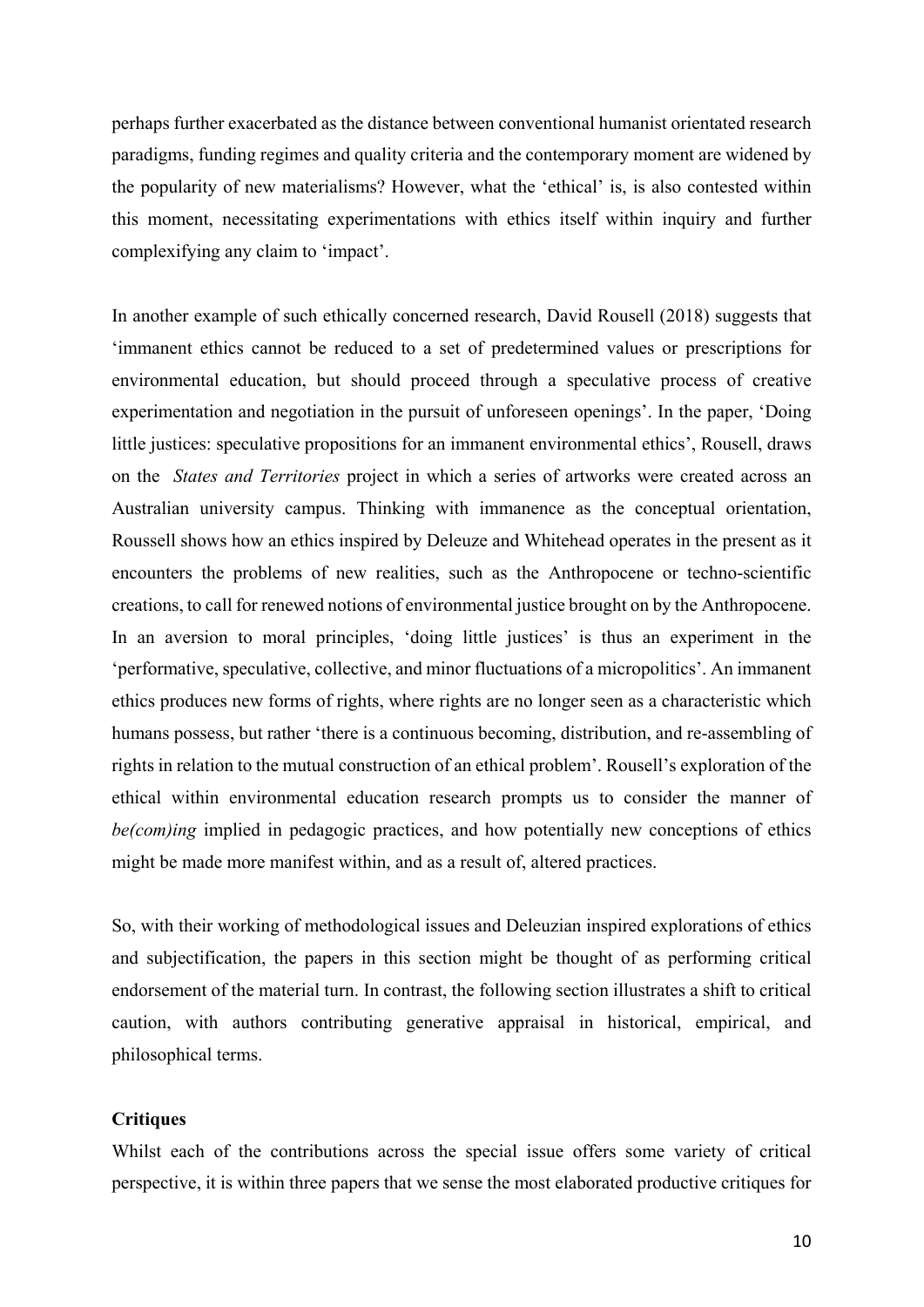perhaps further exacerbated as the distance between conventional humanist orientated research paradigms, funding regimes and quality criteria and the contemporary moment are widened by the popularity of new materialisms? However, what the 'ethical' is, is also contested within this moment, necessitating experimentations with ethics itself within inquiry and further complexifying any claim to 'impact'.

In another example of such ethically concerned research, David Rousell (2018) suggests that 'immanent ethics cannot be reduced to a set of predetermined values or prescriptions for environmental education, but should proceed through a speculative process of creative experimentation and negotiation in the pursuit of unforeseen openings'. In the paper, 'Doing little justices: speculative propositions for an immanent environmental ethics', Rousell, draws on the *States and Territories* project in which a series of artworks were created across an Australian university campus. Thinking with immanence as the conceptual orientation, Roussell shows how an ethics inspired by Deleuze and Whitehead operates in the present as it encounters the problems of new realities, such as the Anthropocene or techno-scientific creations, to call for renewed notions of environmental justice brought on by the Anthropocene. In an aversion to moral principles, 'doing little justices' is thus an experiment in the 'performative, speculative, collective, and minor fluctuations of a micropolitics'. An immanent ethics produces new forms of rights, where rights are no longer seen as a characteristic which humans possess, but rather 'there is a continuous becoming, distribution, and re-assembling of rights in relation to the mutual construction of an ethical problem'. Rousell's exploration of the ethical within environmental education research prompts us to consider the manner of *be(com)ing* implied in pedagogic practices, and how potentially new conceptions of ethics might be made more manifest within, and as a result of, altered practices.

So, with their working of methodological issues and Deleuzian inspired explorations of ethics and subjectification, the papers in this section might be thought of as performing critical endorsement of the material turn. In contrast, the following section illustrates a shift to critical caution, with authors contributing generative appraisal in historical, empirical, and philosophical terms.

#### **Critiques**

Whilst each of the contributions across the special issue offers some variety of critical perspective, it is within three papers that we sense the most elaborated productive critiques for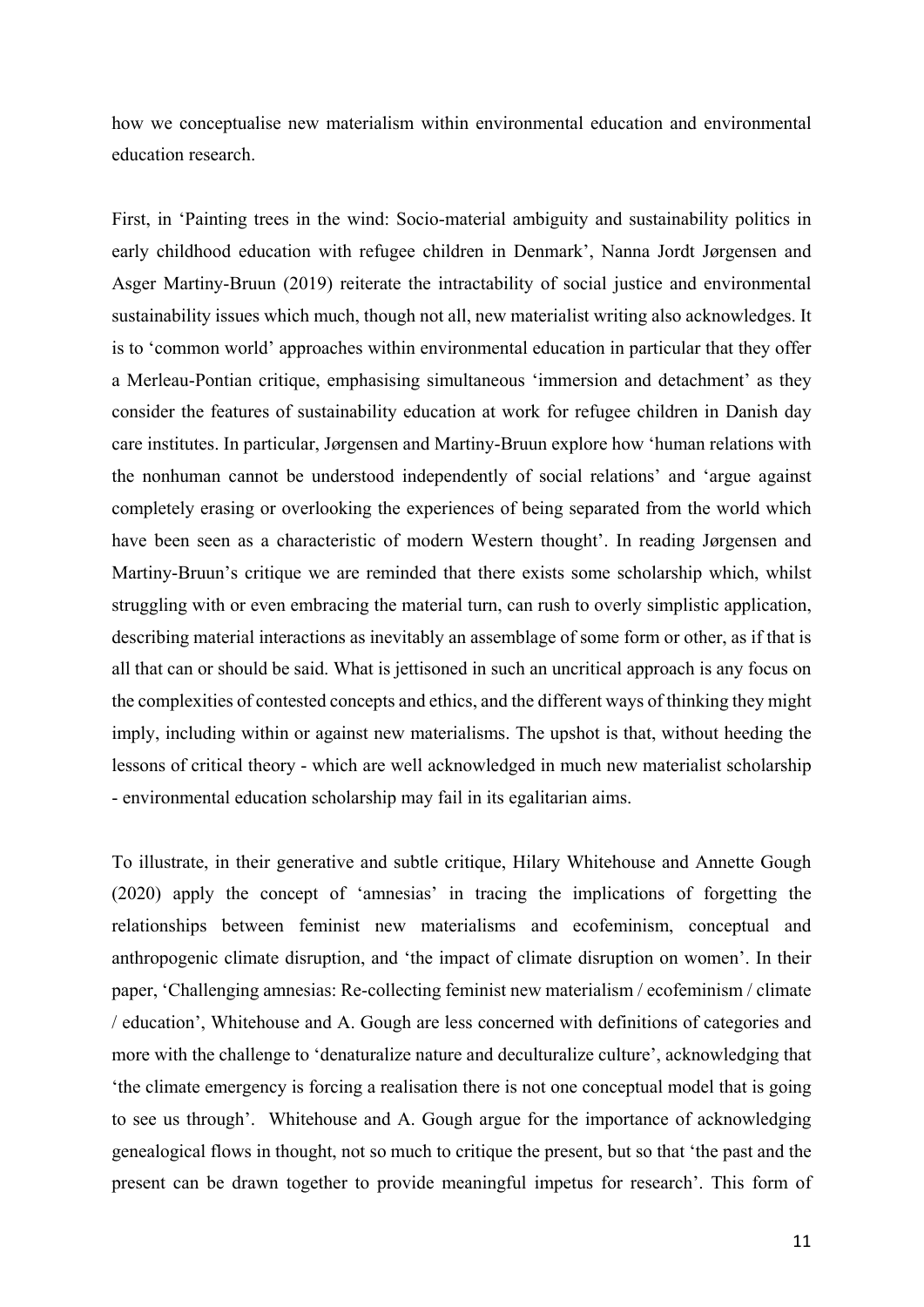how we conceptualise new materialism within environmental education and environmental education research.

First, in 'Painting trees in the wind: Socio-material ambiguity and sustainability politics in early childhood education with refugee children in Denmark', Nanna Jordt Jørgensen and Asger Martiny-Bruun (2019) reiterate the intractability of social justice and environmental sustainability issues which much, though not all, new materialist writing also acknowledges. It is to 'common world' approaches within environmental education in particular that they offer a Merleau-Pontian critique, emphasising simultaneous 'immersion and detachment' as they consider the features of sustainability education at work for refugee children in Danish day care institutes. In particular, Jørgensen and Martiny-Bruun explore how 'human relations with the nonhuman cannot be understood independently of social relations' and 'argue against completely erasing or overlooking the experiences of being separated from the world which have been seen as a characteristic of modern Western thought'. In reading Jørgensen and Martiny-Bruun's critique we are reminded that there exists some scholarship which, whilst struggling with or even embracing the material turn, can rush to overly simplistic application, describing material interactions as inevitably an assemblage of some form or other, as if that is all that can or should be said. What is jettisoned in such an uncritical approach is any focus on the complexities of contested concepts and ethics, and the different ways of thinking they might imply, including within or against new materialisms. The upshot is that, without heeding the lessons of critical theory - which are well acknowledged in much new materialist scholarship - environmental education scholarship may fail in its egalitarian aims.

To illustrate, in their generative and subtle critique, Hilary Whitehouse and Annette Gough (2020) apply the concept of 'amnesias' in tracing the implications of forgetting the relationships between feminist new materialisms and ecofeminism, conceptual and anthropogenic climate disruption, and 'the impact of climate disruption on women'. In their paper, 'Challenging amnesias: Re-collecting feminist new materialism / ecofeminism / climate / education', Whitehouse and A. Gough are less concerned with definitions of categories and more with the challenge to 'denaturalize nature and deculturalize culture', acknowledging that 'the climate emergency is forcing a realisation there is not one conceptual model that is going to see us through'. Whitehouse and A. Gough argue for the importance of acknowledging genealogical flows in thought, not so much to critique the present, but so that 'the past and the present can be drawn together to provide meaningful impetus for research'. This form of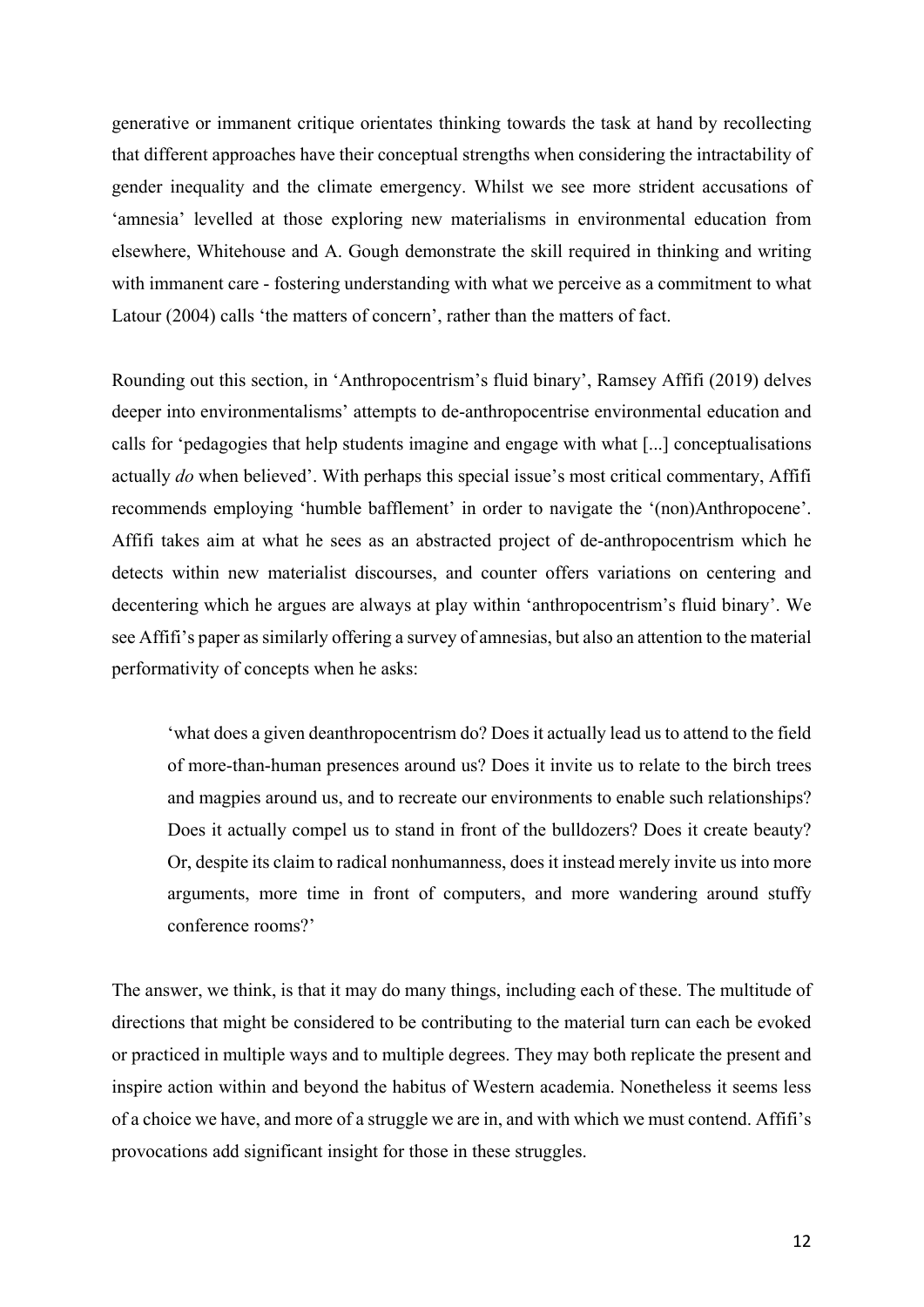generative or immanent critique orientates thinking towards the task at hand by recollecting that different approaches have their conceptual strengths when considering the intractability of gender inequality and the climate emergency. Whilst we see more strident accusations of 'amnesia' levelled at those exploring new materialisms in environmental education from elsewhere, Whitehouse and A. Gough demonstrate the skill required in thinking and writing with immanent care - fostering understanding with what we perceive as a commitment to what Latour (2004) calls 'the matters of concern', rather than the matters of fact.

Rounding out this section, in 'Anthropocentrism's fluid binary', Ramsey Affifi (2019) delves deeper into environmentalisms' attempts to de-anthropocentrise environmental education and calls for 'pedagogies that help students imagine and engage with what [...] conceptualisations actually *do* when believed'. With perhaps this special issue's most critical commentary, Affifi recommends employing 'humble bafflement' in order to navigate the '(non)Anthropocene'. Affifi takes aim at what he sees as an abstracted project of de-anthropocentrism which he detects within new materialist discourses, and counter offers variations on centering and decentering which he argues are always at play within 'anthropocentrism's fluid binary'. We see Affifi's paper as similarly offering a survey of amnesias, but also an attention to the material performativity of concepts when he asks:

'what does a given deanthropocentrism do? Does it actually lead us to attend to the field of more-than-human presences around us? Does it invite us to relate to the birch trees and magpies around us, and to recreate our environments to enable such relationships? Does it actually compel us to stand in front of the bulldozers? Does it create beauty? Or, despite its claim to radical nonhumanness, does it instead merely invite us into more arguments, more time in front of computers, and more wandering around stuffy conference rooms?'

The answer, we think, is that it may do many things, including each of these. The multitude of directions that might be considered to be contributing to the material turn can each be evoked or practiced in multiple ways and to multiple degrees. They may both replicate the present and inspire action within and beyond the habitus of Western academia. Nonetheless it seems less of a choice we have, and more of a struggle we are in, and with which we must contend. Affifi's provocations add significant insight for those in these struggles.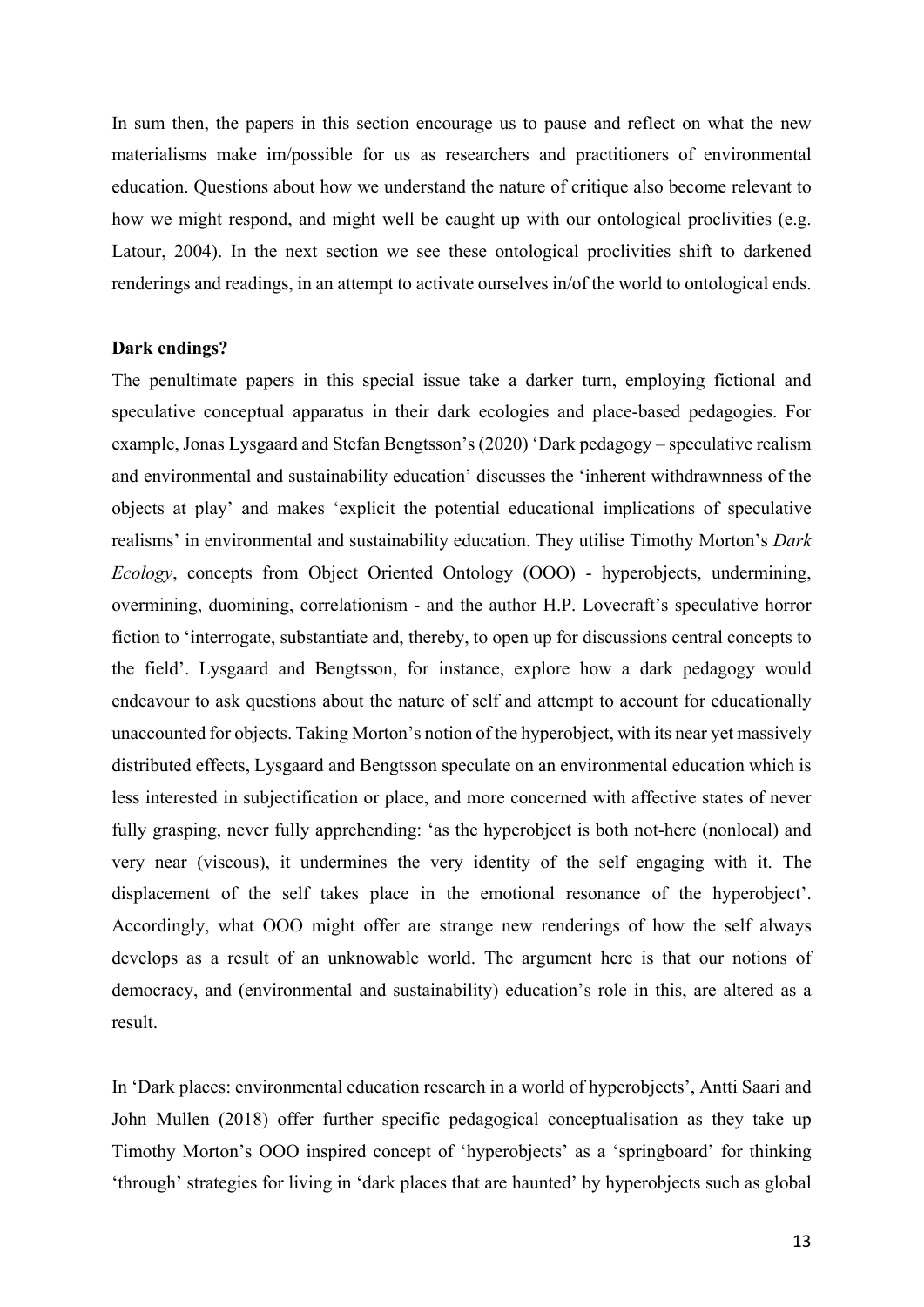In sum then, the papers in this section encourage us to pause and reflect on what the new materialisms make im/possible for us as researchers and practitioners of environmental education. Questions about how we understand the nature of critique also become relevant to how we might respond, and might well be caught up with our ontological proclivities (e.g. Latour, 2004). In the next section we see these ontological proclivities shift to darkened renderings and readings, in an attempt to activate ourselves in/of the world to ontological ends.

#### **Dark endings?**

The penultimate papers in this special issue take a darker turn, employing fictional and speculative conceptual apparatus in their dark ecologies and place-based pedagogies. For example, Jonas Lysgaard and Stefan Bengtsson's (2020) 'Dark pedagogy – speculative realism and environmental and sustainability education' discusses the 'inherent withdrawnness of the objects at play' and makes 'explicit the potential educational implications of speculative realisms' in environmental and sustainability education. They utilise Timothy Morton's *Dark Ecology*, concepts from Object Oriented Ontology (OOO) - hyperobjects, undermining, overmining, duomining, correlationism - and the author H.P. Lovecraft's speculative horror fiction to 'interrogate, substantiate and, thereby, to open up for discussions central concepts to the field'. Lysgaard and Bengtsson, for instance, explore how a dark pedagogy would endeavour to ask questions about the nature of self and attempt to account for educationally unaccounted for objects. Taking Morton's notion of the hyperobject, with its near yet massively distributed effects, Lysgaard and Bengtsson speculate on an environmental education which is less interested in subjectification or place, and more concerned with affective states of never fully grasping, never fully apprehending: 'as the hyperobject is both not-here (nonlocal) and very near (viscous), it undermines the very identity of the self engaging with it. The displacement of the self takes place in the emotional resonance of the hyperobject'. Accordingly, what OOO might offer are strange new renderings of how the self always develops as a result of an unknowable world. The argument here is that our notions of democracy, and (environmental and sustainability) education's role in this, are altered as a result.

In 'Dark places: environmental education research in a world of hyperobjects', Antti Saari and John Mullen (2018) offer further specific pedagogical conceptualisation as they take up Timothy Morton's OOO inspired concept of 'hyperobjects' as a 'springboard' for thinking 'through' strategies for living in 'dark places that are haunted' by hyperobjects such as global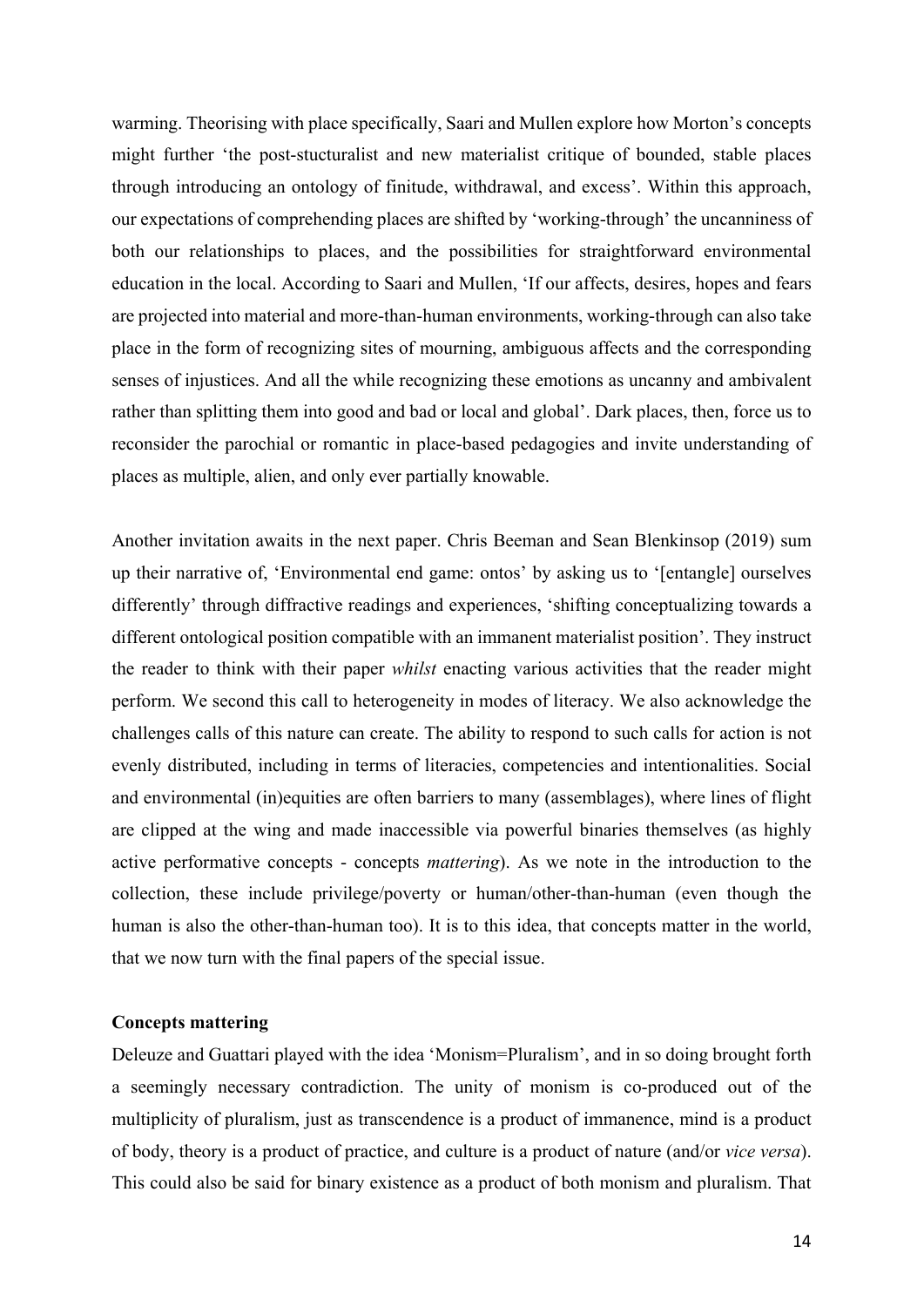warming. Theorising with place specifically, Saari and Mullen explore how Morton's concepts might further 'the post-stucturalist and new materialist critique of bounded, stable places through introducing an ontology of finitude, withdrawal, and excess'. Within this approach, our expectations of comprehending places are shifted by 'working-through' the uncanniness of both our relationships to places, and the possibilities for straightforward environmental education in the local. According to Saari and Mullen, 'If our affects, desires, hopes and fears are projected into material and more-than-human environments, working-through can also take place in the form of recognizing sites of mourning, ambiguous affects and the corresponding senses of injustices. And all the while recognizing these emotions as uncanny and ambivalent rather than splitting them into good and bad or local and global'. Dark places, then, force us to reconsider the parochial or romantic in place-based pedagogies and invite understanding of places as multiple, alien, and only ever partially knowable.

Another invitation awaits in the next paper. Chris Beeman and Sean Blenkinsop (2019) sum up their narrative of, 'Environmental end game: ontos' by asking us to '[entangle] ourselves differently' through diffractive readings and experiences, 'shifting conceptualizing towards a different ontological position compatible with an immanent materialist position'. They instruct the reader to think with their paper *whilst* enacting various activities that the reader might perform. We second this call to heterogeneity in modes of literacy. We also acknowledge the challenges calls of this nature can create. The ability to respond to such calls for action is not evenly distributed, including in terms of literacies, competencies and intentionalities. Social and environmental (in)equities are often barriers to many (assemblages), where lines of flight are clipped at the wing and made inaccessible via powerful binaries themselves (as highly active performative concepts - concepts *mattering*). As we note in the introduction to the collection, these include privilege/poverty or human/other-than-human (even though the human is also the other-than-human too). It is to this idea, that concepts matter in the world, that we now turn with the final papers of the special issue.

## **Concepts mattering**

Deleuze and Guattari played with the idea 'Monism=Pluralism', and in so doing brought forth a seemingly necessary contradiction. The unity of monism is co-produced out of the multiplicity of pluralism, just as transcendence is a product of immanence, mind is a product of body, theory is a product of practice, and culture is a product of nature (and/or *vice versa*). This could also be said for binary existence as a product of both monism and pluralism. That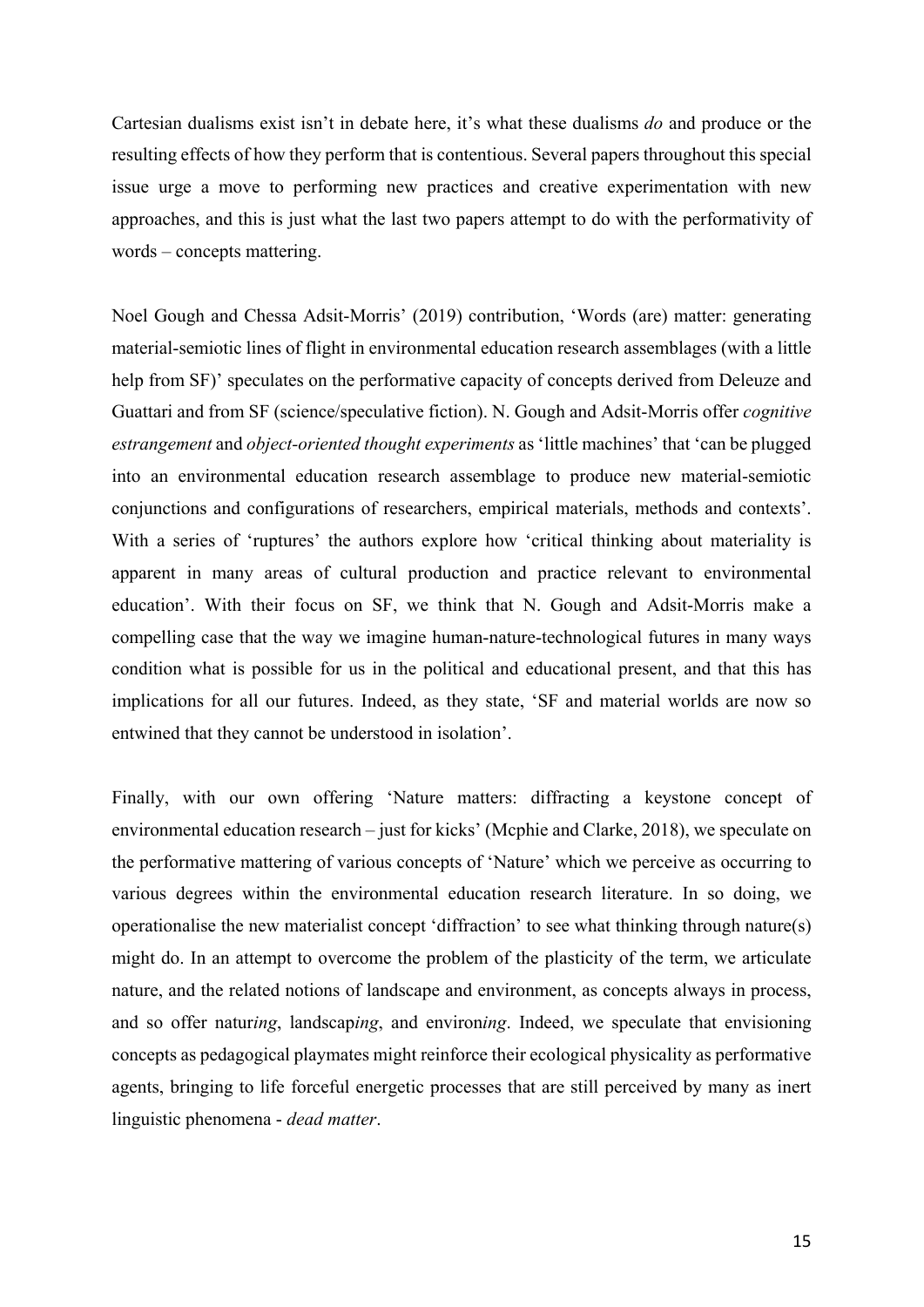Cartesian dualisms exist isn't in debate here, it's what these dualisms *do* and produce or the resulting effects of how they perform that is contentious. Several papers throughout this special issue urge a move to performing new practices and creative experimentation with new approaches, and this is just what the last two papers attempt to do with the performativity of words – concepts mattering.

Noel Gough and Chessa Adsit-Morris' (2019) contribution, 'Words (are) matter: generating material-semiotic lines of flight in environmental education research assemblages (with a little help from SF)' speculates on the performative capacity of concepts derived from Deleuze and Guattari and from SF (science/speculative fiction). N. Gough and Adsit-Morris offer *cognitive estrangement* and *object-oriented thought experiments* as 'little machines' that 'can be plugged into an environmental education research assemblage to produce new material-semiotic conjunctions and configurations of researchers, empirical materials, methods and contexts'. With a series of 'ruptures' the authors explore how 'critical thinking about materiality is apparent in many areas of cultural production and practice relevant to environmental education'. With their focus on SF, we think that N. Gough and Adsit-Morris make a compelling case that the way we imagine human-nature-technological futures in many ways condition what is possible for us in the political and educational present, and that this has implications for all our futures. Indeed, as they state, 'SF and material worlds are now so entwined that they cannot be understood in isolation'.

Finally, with our own offering 'Nature matters: diffracting a keystone concept of environmental education research – just for kicks' (Mcphie and Clarke, 2018), we speculate on the performative mattering of various concepts of 'Nature' which we perceive as occurring to various degrees within the environmental education research literature. In so doing, we operationalise the new materialist concept 'diffraction' to see what thinking through nature(s) might do. In an attempt to overcome the problem of the plasticity of the term, we articulate nature, and the related notions of landscape and environment, as concepts always in process, and so offer natur*ing*, landscap*ing*, and environ*ing*. Indeed, we speculate that envisioning concepts as pedagogical playmates might reinforce their ecological physicality as performative agents, bringing to life forceful energetic processes that are still perceived by many as inert linguistic phenomena - *dead matter*.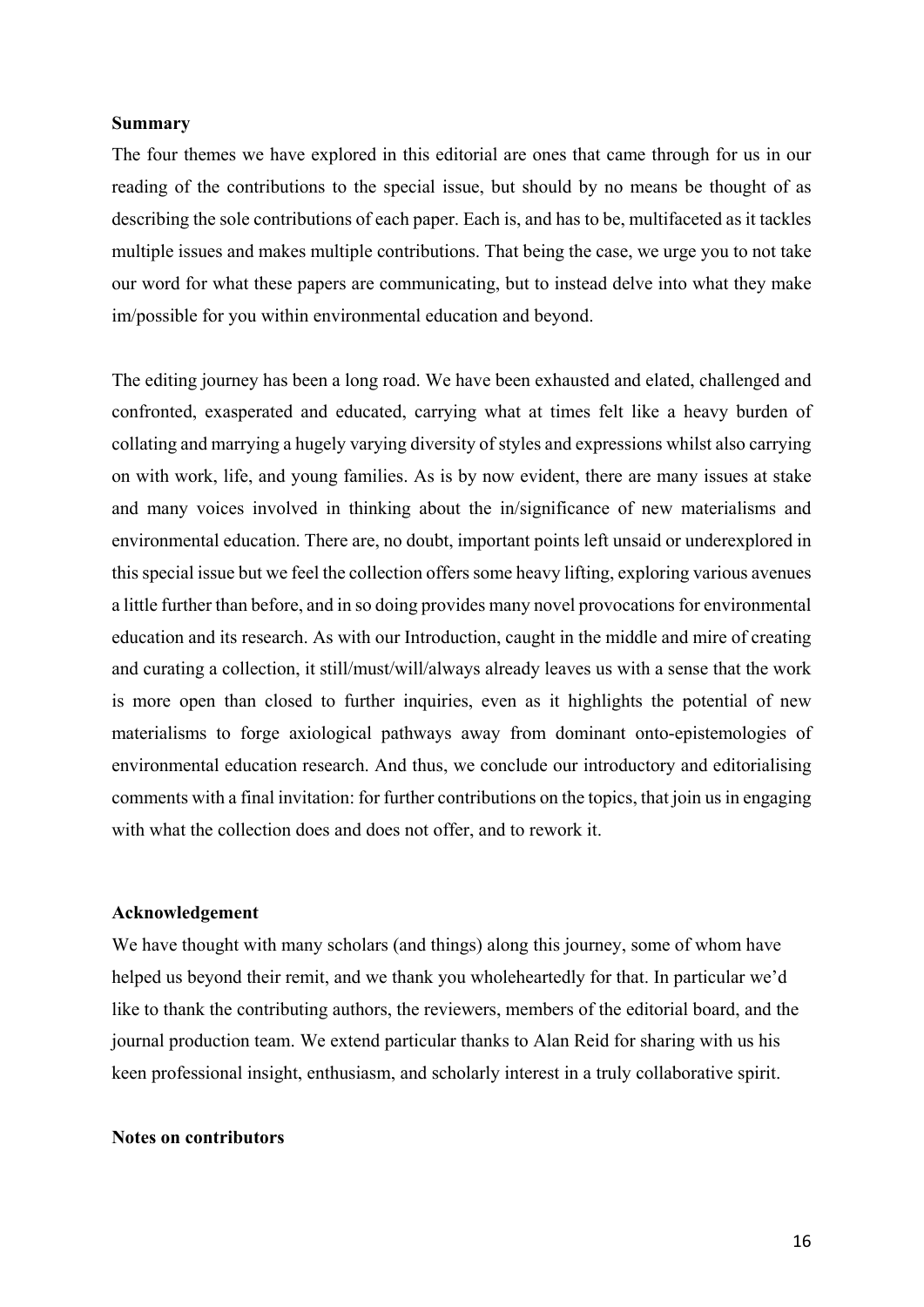### **Summary**

The four themes we have explored in this editorial are ones that came through for us in our reading of the contributions to the special issue, but should by no means be thought of as describing the sole contributions of each paper. Each is, and has to be, multifaceted as it tackles multiple issues and makes multiple contributions. That being the case, we urge you to not take our word for what these papers are communicating, but to instead delve into what they make im/possible for you within environmental education and beyond.

The editing journey has been a long road. We have been exhausted and elated, challenged and confronted, exasperated and educated, carrying what at times felt like a heavy burden of collating and marrying a hugely varying diversity of styles and expressions whilst also carrying on with work, life, and young families. As is by now evident, there are many issues at stake and many voices involved in thinking about the in/significance of new materialisms and environmental education. There are, no doubt, important points left unsaid or underexplored in this special issue but we feel the collection offers some heavy lifting, exploring various avenues a little further than before, and in so doing provides many novel provocations for environmental education and its research. As with our Introduction, caught in the middle and mire of creating and curating a collection, it still/must/will/always already leaves us with a sense that the work is more open than closed to further inquiries, even as it highlights the potential of new materialisms to forge axiological pathways away from dominant onto-epistemologies of environmental education research. And thus, we conclude our introductory and editorialising comments with a final invitation: for further contributions on the topics, that join us in engaging with what the collection does and does not offer, and to rework it.

### **Acknowledgement**

We have thought with many scholars (and things) along this journey, some of whom have helped us beyond their remit, and we thank you wholeheartedly for that. In particular we'd like to thank the contributing authors, the reviewers, members of the editorial board, and the journal production team. We extend particular thanks to Alan Reid for sharing with us his keen professional insight, enthusiasm, and scholarly interest in a truly collaborative spirit.

#### **Notes on contributors**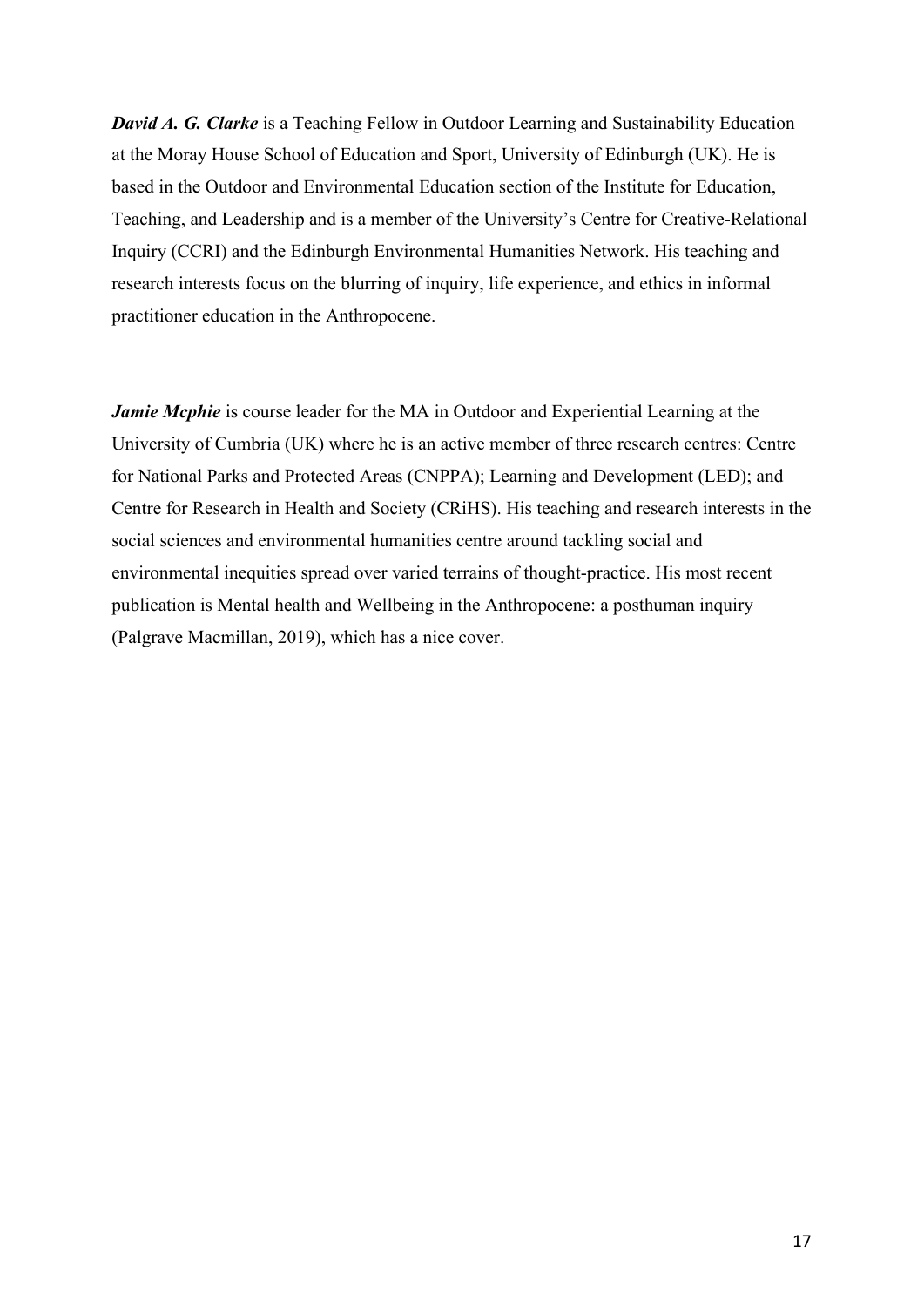*David A. G. Clarke* is a Teaching Fellow in Outdoor Learning and Sustainability Education at the Moray House School of Education and Sport, University of Edinburgh (UK). He is based in the Outdoor and Environmental Education section of the Institute for Education, Teaching, and Leadership and is a member of the University's Centre for Creative-Relational Inquiry (CCRI) and the Edinburgh Environmental Humanities Network. His teaching and research interests focus on the blurring of inquiry, life experience, and ethics in informal practitioner education in the Anthropocene.

*Jamie Mcphie* is course leader for the MA in Outdoor and Experiential Learning at the University of Cumbria (UK) where he is an active member of three research centres: Centre for National Parks and Protected Areas (CNPPA); Learning and Development (LED); and Centre for Research in Health and Society (CRiHS). His teaching and research interests in the social sciences and environmental humanities centre around tackling social and environmental inequities spread over varied terrains of thought-practice. His most recent publication is Mental health and Wellbeing in the Anthropocene: a posthuman inquiry (Palgrave Macmillan, 2019), which has a nice cover.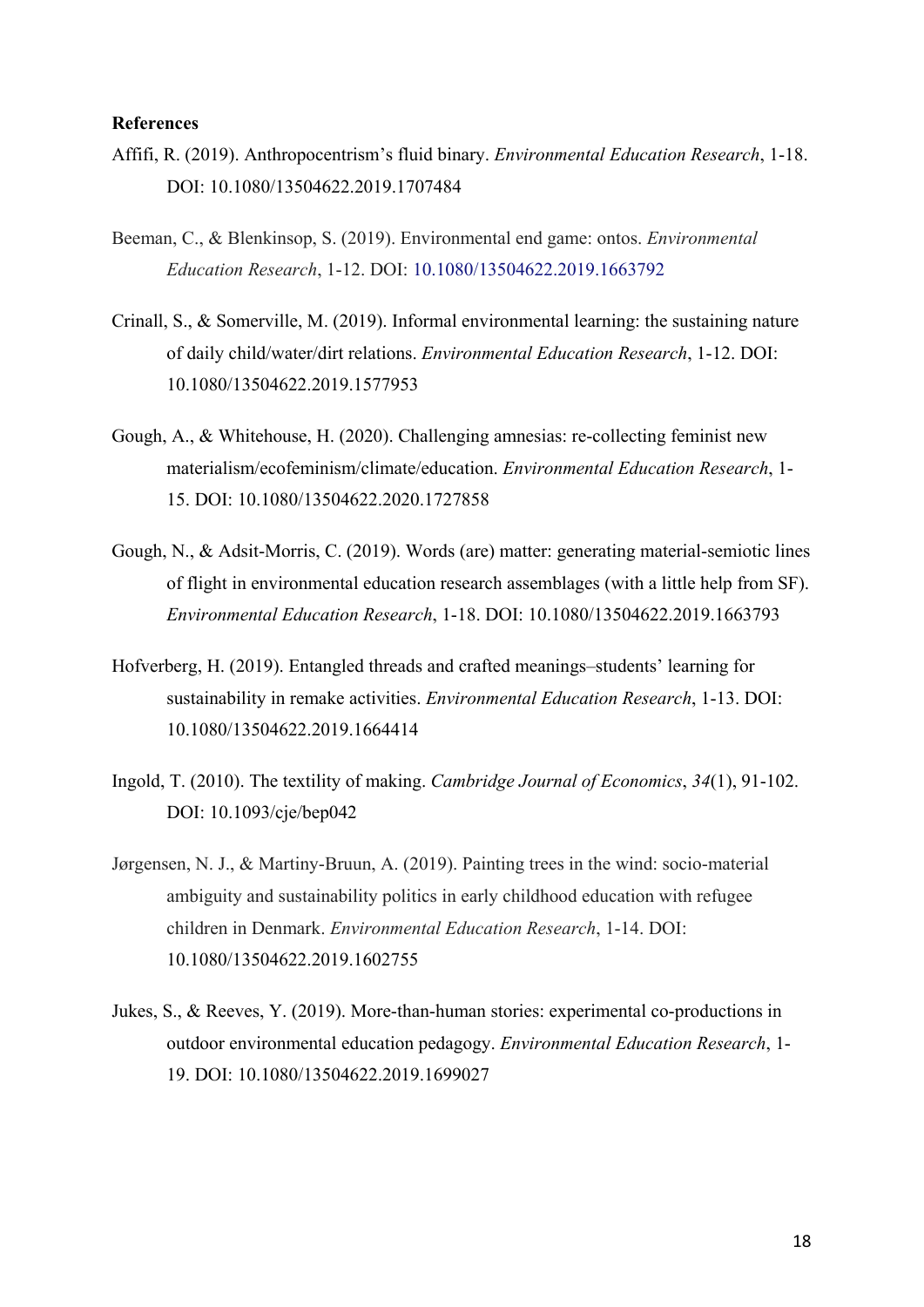#### **References**

- Affifi, R. (2019). Anthropocentrism's fluid binary. *Environmental Education Research*, 1-18. DOI: 10.1080/13504622.2019.1707484
- Beeman, C., & Blenkinsop, S. (2019). Environmental end game: ontos. *Environmental Education Research*, 1-12. DOI: [10.1080/13504622.2019.1663792](https://doi.org/10.1080/13504622.2019.1663792)
- Crinall, S., & Somerville, M. (2019). Informal environmental learning: the sustaining nature of daily child/water/dirt relations. *Environmental Education Research*, 1-12. DOI: 10.1080/13504622.2019.1577953
- Gough, A., & Whitehouse, H. (2020). Challenging amnesias: re-collecting feminist new materialism/ecofeminism/climate/education. *Environmental Education Research*, 1- 15. DOI: 10.1080/13504622.2020.1727858
- Gough, N., & Adsit-Morris, C. (2019). Words (are) matter: generating material-semiotic lines of flight in environmental education research assemblages (with a little help from SF). *Environmental Education Research*, 1-18. DOI: 10.1080/13504622.2019.1663793
- Hofverberg, H. (2019). Entangled threads and crafted meanings–students' learning for sustainability in remake activities. *Environmental Education Research*, 1-13. DOI: 10.1080/13504622.2019.1664414
- Ingold, T. (2010). The textility of making. *Cambridge Journal of Economics*, *34*(1), 91-102. DOI: 10.1093/cje/bep042
- Jørgensen, N. J., & Martiny-Bruun, A. (2019). Painting trees in the wind: socio-material ambiguity and sustainability politics in early childhood education with refugee children in Denmark. *Environmental Education Research*, 1-14. DOI: [10.1080/13504622.2019.1602755](https://doi.org/10.1080/13504622.2019.1602755)
- Jukes, S., & Reeves, Y. (2019). More-than-human stories: experimental co-productions in outdoor environmental education pedagogy. *Environmental Education Research*, 1- 19. DOI: 10.1080/13504622.2019.1699027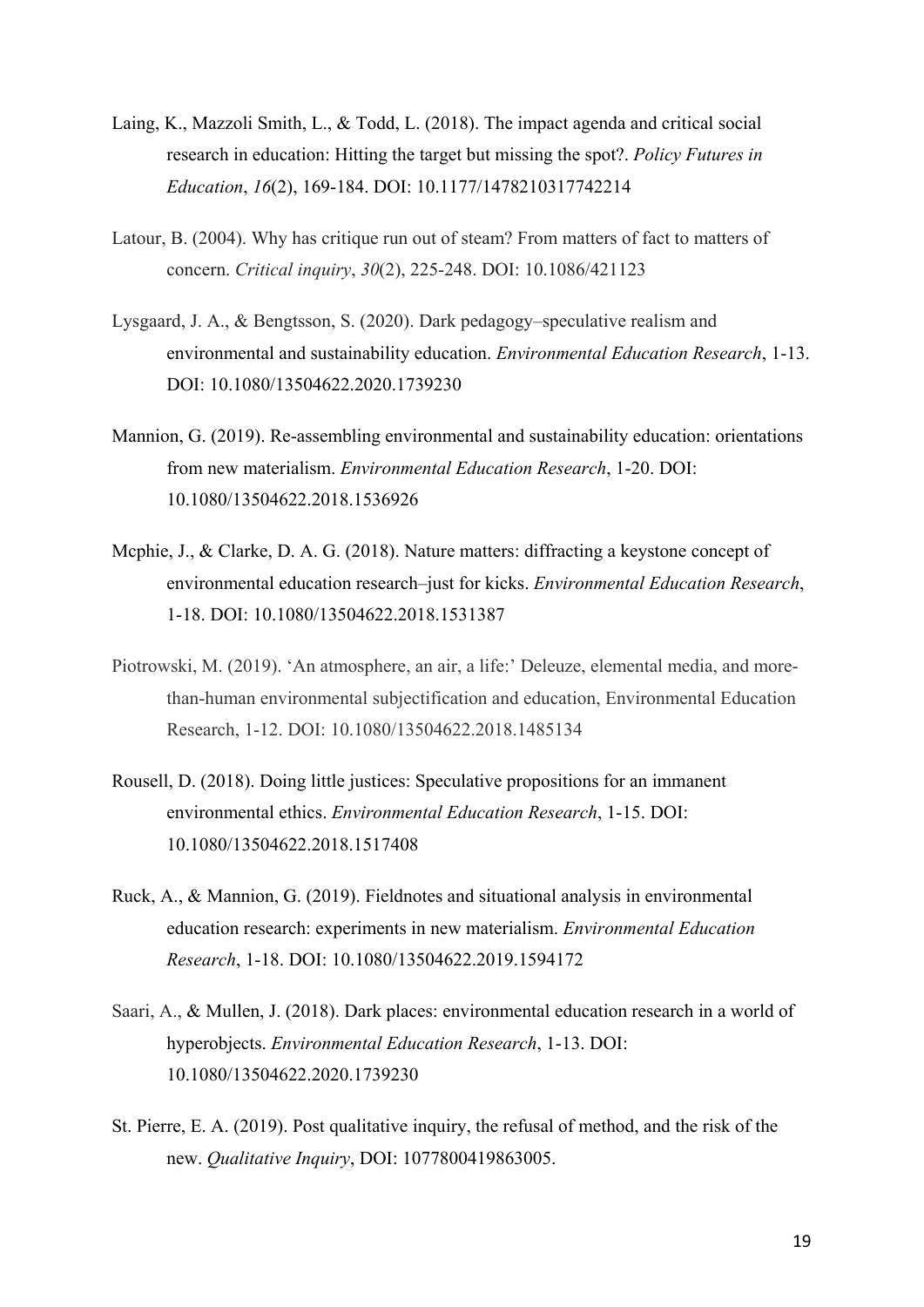- Laing, K., Mazzoli Smith, L., & Todd, L. (2018). The impact agenda and critical social research in education: Hitting the target but missing the spot?. *Policy Futures in Education*, *16*(2), 169-184. DOI: 10.1177/1478210317742214
- Latour, B. (2004). Why has critique run out of steam? From matters of fact to matters of concern. *Critical inquiry*, *30*(2), 225-248. DOI: 10.1086/421123
- Lysgaard, J. A., & Bengtsson, S. (2020). Dark pedagogy–speculative realism and environmental and sustainability education. *Environmental Education Research*, 1-13. DOI: [10.1080/13504622.2020.1739230](https://doi.org/10.1080/13504622.2020.1739230)
- Mannion, G. (2019). Re-assembling environmental and sustainability education: orientations from new materialism. *Environmental Education Research*, 1-20. DOI: 10.1080/13504622.2018.1536926
- Mcphie, J., & Clarke, D. A. G. (2018). Nature matters: diffracting a keystone concept of environmental education research–just for kicks. *Environmental Education Research*, 1-18. DOI: 10.1080/13504622.2018.1531387
- Piotrowski, M. (2019). 'An atmosphere, an air, a life:' Deleuze, elemental media, and morethan-human environmental subjectification and education, Environmental Education Research, 1-12. DOI: [10.1080/13504622.2018.1485134](https://doi.org/10.1080/13504622.2018.1485134)
- Rousell, D. (2018). Doing little justices: Speculative propositions for an immanent environmental ethics. *Environmental Education Research*, 1-15. DOI: 10.1080/13504622.2018.1517408
- Ruck, A., & Mannion, G. (2019). Fieldnotes and situational analysis in environmental education research: experiments in new materialism. *Environmental Education Research*, 1-18. DOI: 10.1080/13504622.2019.1594172
- Saari, A., & Mullen, J. (2018). Dark places: environmental education research in a world of hyperobjects. *Environmental Education Research*, 1-13. DOI: [10.1080/13504622.2020.1739230](https://doi.org/10.1080/13504622.2020.1739230)
- St. Pierre, E. A. (2019). Post qualitative inquiry, the refusal of method, and the risk of the new. *Qualitative Inquiry*, DOI: 1077800419863005.